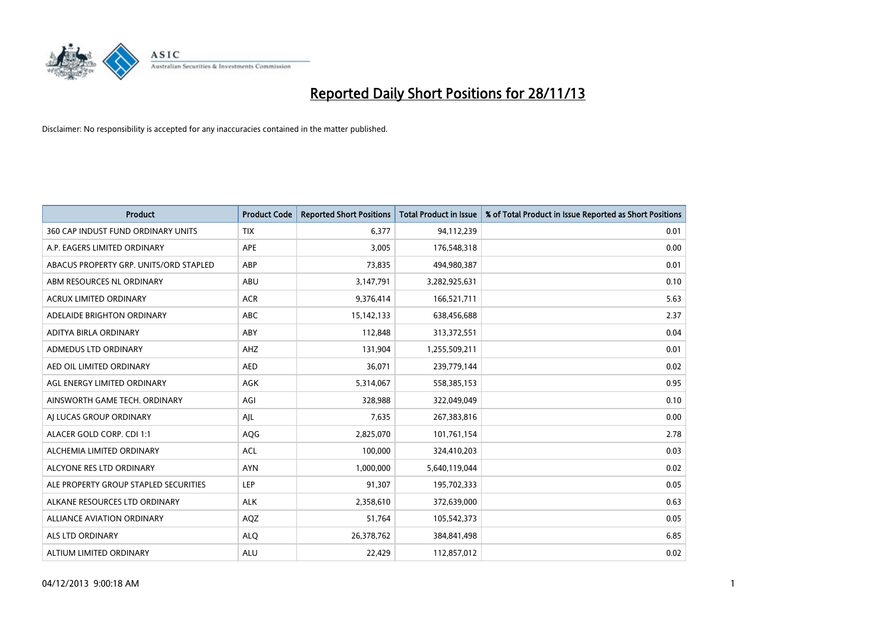

| <b>Product</b>                         | <b>Product Code</b> | <b>Reported Short Positions</b> | Total Product in Issue | % of Total Product in Issue Reported as Short Positions |
|----------------------------------------|---------------------|---------------------------------|------------------------|---------------------------------------------------------|
| 360 CAP INDUST FUND ORDINARY UNITS     | <b>TIX</b>          | 6,377                           | 94,112,239             | 0.01                                                    |
| A.P. EAGERS LIMITED ORDINARY           | APE                 | 3,005                           | 176,548,318            | 0.00                                                    |
| ABACUS PROPERTY GRP. UNITS/ORD STAPLED | ABP                 | 73,835                          | 494,980,387            | 0.01                                                    |
| ABM RESOURCES NL ORDINARY              | ABU                 | 3,147,791                       | 3,282,925,631          | 0.10                                                    |
| <b>ACRUX LIMITED ORDINARY</b>          | <b>ACR</b>          | 9,376,414                       | 166,521,711            | 5.63                                                    |
| ADELAIDE BRIGHTON ORDINARY             | <b>ABC</b>          | 15,142,133                      | 638,456,688            | 2.37                                                    |
| ADITYA BIRLA ORDINARY                  | <b>ABY</b>          | 112,848                         | 313,372,551            | 0.04                                                    |
| ADMEDUS LTD ORDINARY                   | AHZ                 | 131,904                         | 1,255,509,211          | 0.01                                                    |
| AED OIL LIMITED ORDINARY               | <b>AED</b>          | 36,071                          | 239,779,144            | 0.02                                                    |
| AGL ENERGY LIMITED ORDINARY            | <b>AGK</b>          | 5,314,067                       | 558,385,153            | 0.95                                                    |
| AINSWORTH GAME TECH. ORDINARY          | AGI                 | 328,988                         | 322,049,049            | 0.10                                                    |
| AI LUCAS GROUP ORDINARY                | AJL                 | 7,635                           | 267,383,816            | 0.00                                                    |
| ALACER GOLD CORP. CDI 1:1              | AQG                 | 2,825,070                       | 101,761,154            | 2.78                                                    |
| ALCHEMIA LIMITED ORDINARY              | <b>ACL</b>          | 100,000                         | 324,410,203            | 0.03                                                    |
| ALCYONE RES LTD ORDINARY               | <b>AYN</b>          | 1,000,000                       | 5,640,119,044          | 0.02                                                    |
| ALE PROPERTY GROUP STAPLED SECURITIES  | <b>LEP</b>          | 91,307                          | 195,702,333            | 0.05                                                    |
| ALKANE RESOURCES LTD ORDINARY          | <b>ALK</b>          | 2,358,610                       | 372,639,000            | 0.63                                                    |
| <b>ALLIANCE AVIATION ORDINARY</b>      | AQZ                 | 51,764                          | 105,542,373            | 0.05                                                    |
| ALS LTD ORDINARY                       | <b>ALO</b>          | 26,378,762                      | 384, 841, 498          | 6.85                                                    |
| ALTIUM LIMITED ORDINARY                | <b>ALU</b>          | 22,429                          | 112,857,012            | 0.02                                                    |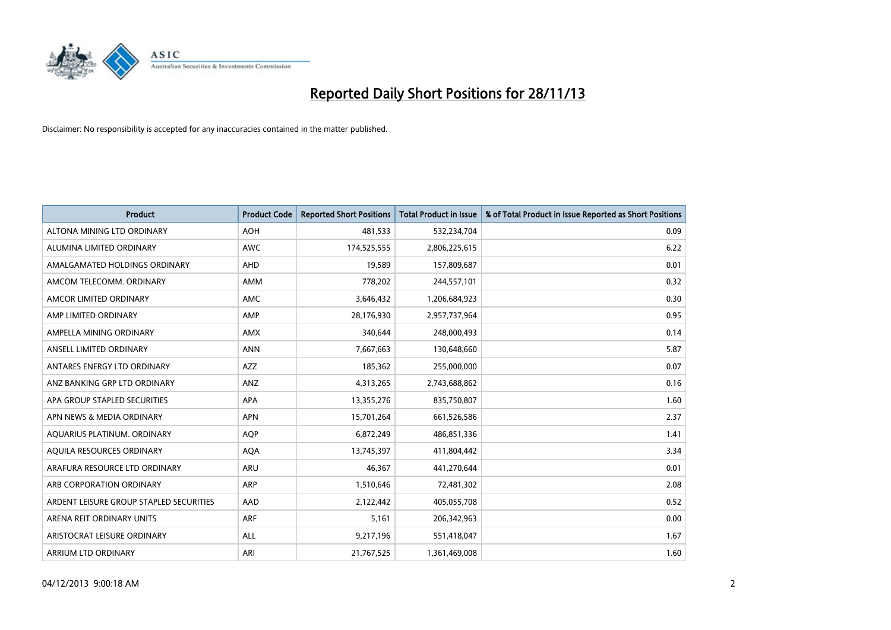

| <b>Product</b>                          | <b>Product Code</b> | <b>Reported Short Positions</b> | <b>Total Product in Issue</b> | % of Total Product in Issue Reported as Short Positions |
|-----------------------------------------|---------------------|---------------------------------|-------------------------------|---------------------------------------------------------|
| ALTONA MINING LTD ORDINARY              | <b>AOH</b>          | 481,533                         | 532,234,704                   | 0.09                                                    |
| ALUMINA LIMITED ORDINARY                | <b>AWC</b>          | 174,525,555                     | 2,806,225,615                 | 6.22                                                    |
| AMALGAMATED HOLDINGS ORDINARY           | <b>AHD</b>          | 19,589                          | 157,809,687                   | 0.01                                                    |
| AMCOM TELECOMM, ORDINARY                | <b>AMM</b>          | 778,202                         | 244,557,101                   | 0.32                                                    |
| AMCOR LIMITED ORDINARY                  | AMC                 | 3,646,432                       | 1,206,684,923                 | 0.30                                                    |
| AMP LIMITED ORDINARY                    | AMP                 | 28,176,930                      | 2,957,737,964                 | 0.95                                                    |
| AMPELLA MINING ORDINARY                 | AMX                 | 340,644                         | 248,000,493                   | 0.14                                                    |
| ANSELL LIMITED ORDINARY                 | <b>ANN</b>          | 7,667,663                       | 130,648,660                   | 5.87                                                    |
| ANTARES ENERGY LTD ORDINARY             | <b>AZZ</b>          | 185,362                         | 255,000,000                   | 0.07                                                    |
| ANZ BANKING GRP LTD ORDINARY            | ANZ                 | 4,313,265                       | 2,743,688,862                 | 0.16                                                    |
| APA GROUP STAPLED SECURITIES            | APA                 | 13,355,276                      | 835,750,807                   | 1.60                                                    |
| APN NEWS & MEDIA ORDINARY               | <b>APN</b>          | 15,701,264                      | 661,526,586                   | 2.37                                                    |
| AQUARIUS PLATINUM. ORDINARY             | <b>AOP</b>          | 6,872,249                       | 486,851,336                   | 1.41                                                    |
| AQUILA RESOURCES ORDINARY               | <b>AQA</b>          | 13,745,397                      | 411,804,442                   | 3.34                                                    |
| ARAFURA RESOURCE LTD ORDINARY           | ARU                 | 46,367                          | 441,270,644                   | 0.01                                                    |
| ARB CORPORATION ORDINARY                | ARP                 | 1,510,646                       | 72,481,302                    | 2.08                                                    |
| ARDENT LEISURE GROUP STAPLED SECURITIES | AAD                 | 2,122,442                       | 405,055,708                   | 0.52                                                    |
| ARENA REIT ORDINARY UNITS               | ARF                 | 5,161                           | 206,342,963                   | 0.00                                                    |
| ARISTOCRAT LEISURE ORDINARY             | <b>ALL</b>          | 9,217,196                       | 551,418,047                   | 1.67                                                    |
| ARRIUM LTD ORDINARY                     | ARI                 | 21,767,525                      | 1,361,469,008                 | 1.60                                                    |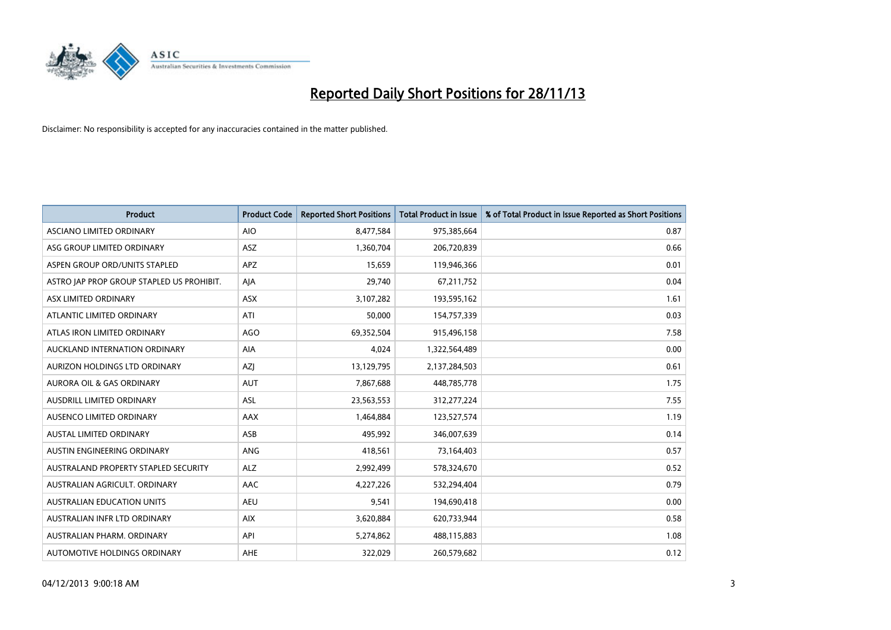

| <b>Product</b>                            | <b>Product Code</b> | <b>Reported Short Positions</b> | <b>Total Product in Issue</b> | % of Total Product in Issue Reported as Short Positions |
|-------------------------------------------|---------------------|---------------------------------|-------------------------------|---------------------------------------------------------|
| ASCIANO LIMITED ORDINARY                  | <b>AIO</b>          | 8,477,584                       | 975,385,664                   | 0.87                                                    |
| ASG GROUP LIMITED ORDINARY                | ASZ                 | 1,360,704                       | 206,720,839                   | 0.66                                                    |
| ASPEN GROUP ORD/UNITS STAPLED             | APZ                 | 15,659                          | 119,946,366                   | 0.01                                                    |
| ASTRO JAP PROP GROUP STAPLED US PROHIBIT. | AJA                 | 29,740                          | 67,211,752                    | 0.04                                                    |
| ASX LIMITED ORDINARY                      | ASX                 | 3,107,282                       | 193,595,162                   | 1.61                                                    |
| ATLANTIC LIMITED ORDINARY                 | ATI                 | 50,000                          | 154,757,339                   | 0.03                                                    |
| ATLAS IRON LIMITED ORDINARY               | <b>AGO</b>          | 69,352,504                      | 915,496,158                   | 7.58                                                    |
| AUCKLAND INTERNATION ORDINARY             | AIA                 | 4,024                           | 1,322,564,489                 | 0.00                                                    |
| AURIZON HOLDINGS LTD ORDINARY             | AZJ                 | 13,129,795                      | 2,137,284,503                 | 0.61                                                    |
| <b>AURORA OIL &amp; GAS ORDINARY</b>      | <b>AUT</b>          | 7,867,688                       | 448,785,778                   | 1.75                                                    |
| AUSDRILL LIMITED ORDINARY                 | <b>ASL</b>          | 23,563,553                      | 312,277,224                   | 7.55                                                    |
| AUSENCO LIMITED ORDINARY                  | AAX                 | 1,464,884                       | 123,527,574                   | 1.19                                                    |
| <b>AUSTAL LIMITED ORDINARY</b>            | ASB                 | 495,992                         | 346,007,639                   | 0.14                                                    |
| AUSTIN ENGINEERING ORDINARY               | ANG                 | 418,561                         | 73,164,403                    | 0.57                                                    |
| AUSTRALAND PROPERTY STAPLED SECURITY      | <b>ALZ</b>          | 2,992,499                       | 578,324,670                   | 0.52                                                    |
| AUSTRALIAN AGRICULT. ORDINARY             | AAC                 | 4,227,226                       | 532,294,404                   | 0.79                                                    |
| AUSTRALIAN EDUCATION UNITS                | <b>AEU</b>          | 9,541                           | 194,690,418                   | 0.00                                                    |
| AUSTRALIAN INFR LTD ORDINARY              | <b>AIX</b>          | 3,620,884                       | 620,733,944                   | 0.58                                                    |
| AUSTRALIAN PHARM, ORDINARY                | API                 | 5,274,862                       | 488,115,883                   | 1.08                                                    |
| AUTOMOTIVE HOLDINGS ORDINARY              | AHE                 | 322,029                         | 260,579,682                   | 0.12                                                    |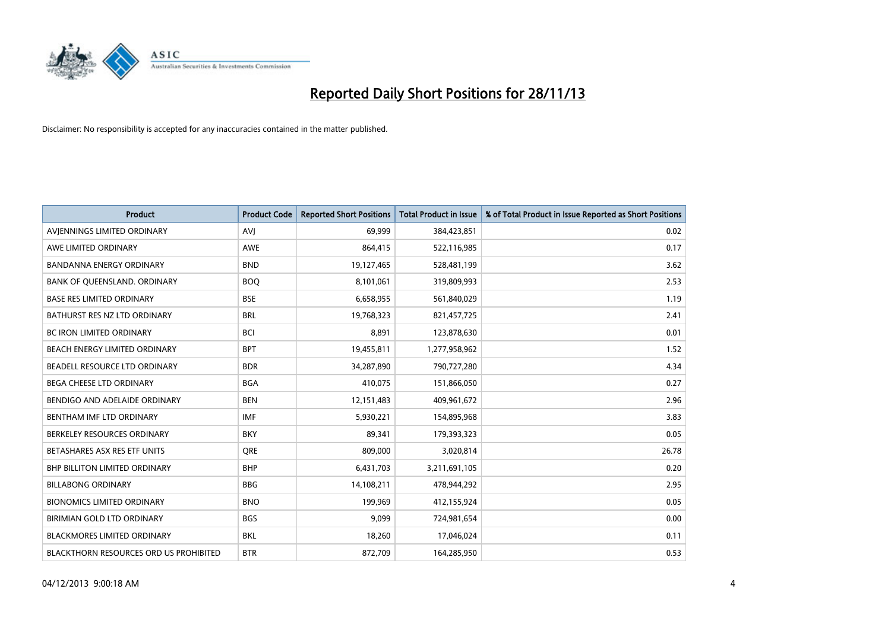

| <b>Product</b>                         | <b>Product Code</b> | <b>Reported Short Positions</b> | <b>Total Product in Issue</b> | % of Total Product in Issue Reported as Short Positions |
|----------------------------------------|---------------------|---------------------------------|-------------------------------|---------------------------------------------------------|
| AVIENNINGS LIMITED ORDINARY            | <b>AVJ</b>          | 69,999                          | 384,423,851                   | 0.02                                                    |
| AWE LIMITED ORDINARY                   | AWE                 | 864,415                         | 522,116,985                   | 0.17                                                    |
| <b>BANDANNA ENERGY ORDINARY</b>        | <b>BND</b>          | 19,127,465                      | 528,481,199                   | 3.62                                                    |
| BANK OF QUEENSLAND. ORDINARY           | <b>BOO</b>          | 8,101,061                       | 319,809,993                   | 2.53                                                    |
| <b>BASE RES LIMITED ORDINARY</b>       | <b>BSE</b>          | 6,658,955                       | 561,840,029                   | 1.19                                                    |
| BATHURST RES NZ LTD ORDINARY           | <b>BRL</b>          | 19,768,323                      | 821,457,725                   | 2.41                                                    |
| <b>BC IRON LIMITED ORDINARY</b>        | <b>BCI</b>          | 8,891                           | 123,878,630                   | 0.01                                                    |
| BEACH ENERGY LIMITED ORDINARY          | <b>BPT</b>          | 19,455,811                      | 1,277,958,962                 | 1.52                                                    |
| BEADELL RESOURCE LTD ORDINARY          | <b>BDR</b>          | 34,287,890                      | 790,727,280                   | 4.34                                                    |
| <b>BEGA CHEESE LTD ORDINARY</b>        | <b>BGA</b>          | 410,075                         | 151,866,050                   | 0.27                                                    |
| BENDIGO AND ADELAIDE ORDINARY          | <b>BEN</b>          | 12,151,483                      | 409,961,672                   | 2.96                                                    |
| BENTHAM IMF LTD ORDINARY               | <b>IMF</b>          | 5,930,221                       | 154,895,968                   | 3.83                                                    |
| BERKELEY RESOURCES ORDINARY            | <b>BKY</b>          | 89,341                          | 179,393,323                   | 0.05                                                    |
| BETASHARES ASX RES ETF UNITS           | <b>ORE</b>          | 809,000                         | 3,020,814                     | 26.78                                                   |
| <b>BHP BILLITON LIMITED ORDINARY</b>   | <b>BHP</b>          | 6,431,703                       | 3,211,691,105                 | 0.20                                                    |
| <b>BILLABONG ORDINARY</b>              | <b>BBG</b>          | 14,108,211                      | 478,944,292                   | 2.95                                                    |
| <b>BIONOMICS LIMITED ORDINARY</b>      | <b>BNO</b>          | 199,969                         | 412,155,924                   | 0.05                                                    |
| BIRIMIAN GOLD LTD ORDINARY             | <b>BGS</b>          | 9,099                           | 724,981,654                   | 0.00                                                    |
| <b>BLACKMORES LIMITED ORDINARY</b>     | <b>BKL</b>          | 18,260                          | 17,046,024                    | 0.11                                                    |
| BLACKTHORN RESOURCES ORD US PROHIBITED | <b>BTR</b>          | 872,709                         | 164,285,950                   | 0.53                                                    |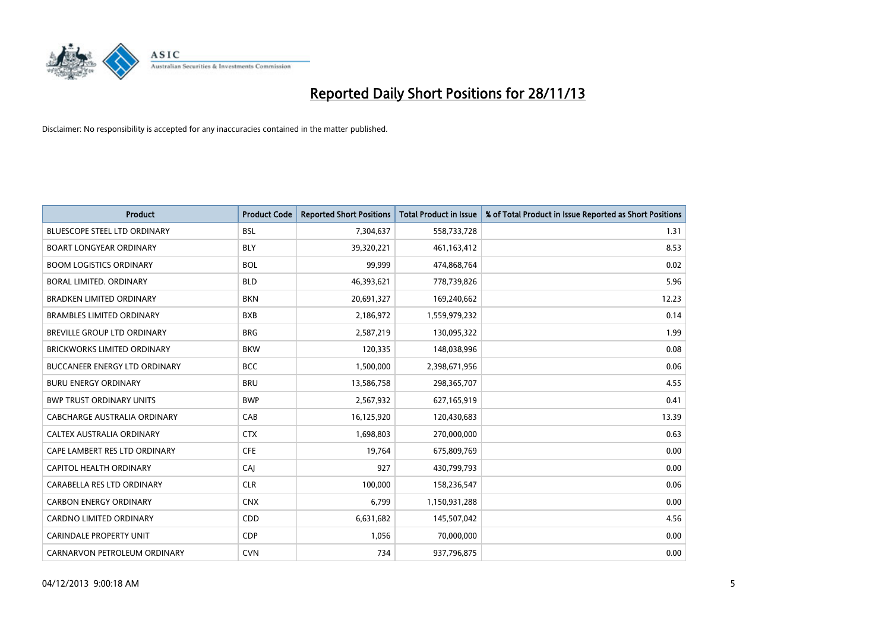

| <b>Product</b>                       | <b>Product Code</b> | <b>Reported Short Positions</b> | <b>Total Product in Issue</b> | % of Total Product in Issue Reported as Short Positions |
|--------------------------------------|---------------------|---------------------------------|-------------------------------|---------------------------------------------------------|
| <b>BLUESCOPE STEEL LTD ORDINARY</b>  | <b>BSL</b>          | 7,304,637                       | 558,733,728                   | 1.31                                                    |
| <b>BOART LONGYEAR ORDINARY</b>       | BLY                 | 39,320,221                      | 461, 163, 412                 | 8.53                                                    |
| <b>BOOM LOGISTICS ORDINARY</b>       | <b>BOL</b>          | 99,999                          | 474,868,764                   | 0.02                                                    |
| BORAL LIMITED. ORDINARY              | <b>BLD</b>          | 46,393,621                      | 778,739,826                   | 5.96                                                    |
| <b>BRADKEN LIMITED ORDINARY</b>      | <b>BKN</b>          | 20,691,327                      | 169,240,662                   | 12.23                                                   |
| <b>BRAMBLES LIMITED ORDINARY</b>     | <b>BXB</b>          | 2,186,972                       | 1,559,979,232                 | 0.14                                                    |
| BREVILLE GROUP LTD ORDINARY          | <b>BRG</b>          | 2,587,219                       | 130,095,322                   | 1.99                                                    |
| BRICKWORKS LIMITED ORDINARY          | <b>BKW</b>          | 120,335                         | 148,038,996                   | 0.08                                                    |
| <b>BUCCANEER ENERGY LTD ORDINARY</b> | <b>BCC</b>          | 1,500,000                       | 2,398,671,956                 | 0.06                                                    |
| <b>BURU ENERGY ORDINARY</b>          | <b>BRU</b>          | 13,586,758                      | 298,365,707                   | 4.55                                                    |
| <b>BWP TRUST ORDINARY UNITS</b>      | <b>BWP</b>          | 2,567,932                       | 627,165,919                   | 0.41                                                    |
| CABCHARGE AUSTRALIA ORDINARY         | CAB                 | 16,125,920                      | 120,430,683                   | 13.39                                                   |
| CALTEX AUSTRALIA ORDINARY            | <b>CTX</b>          | 1,698,803                       | 270,000,000                   | 0.63                                                    |
| CAPE LAMBERT RES LTD ORDINARY        | <b>CFE</b>          | 19,764                          | 675,809,769                   | 0.00                                                    |
| <b>CAPITOL HEALTH ORDINARY</b>       | CAJ                 | 927                             | 430,799,793                   | 0.00                                                    |
| CARABELLA RES LTD ORDINARY           | <b>CLR</b>          | 100,000                         | 158,236,547                   | 0.06                                                    |
| <b>CARBON ENERGY ORDINARY</b>        | <b>CNX</b>          | 6,799                           | 1,150,931,288                 | 0.00                                                    |
| CARDNO LIMITED ORDINARY              | CDD                 | 6,631,682                       | 145,507,042                   | 4.56                                                    |
| <b>CARINDALE PROPERTY UNIT</b>       | <b>CDP</b>          | 1,056                           | 70,000,000                    | 0.00                                                    |
| CARNARVON PETROLEUM ORDINARY         | <b>CVN</b>          | 734                             | 937,796,875                   | 0.00                                                    |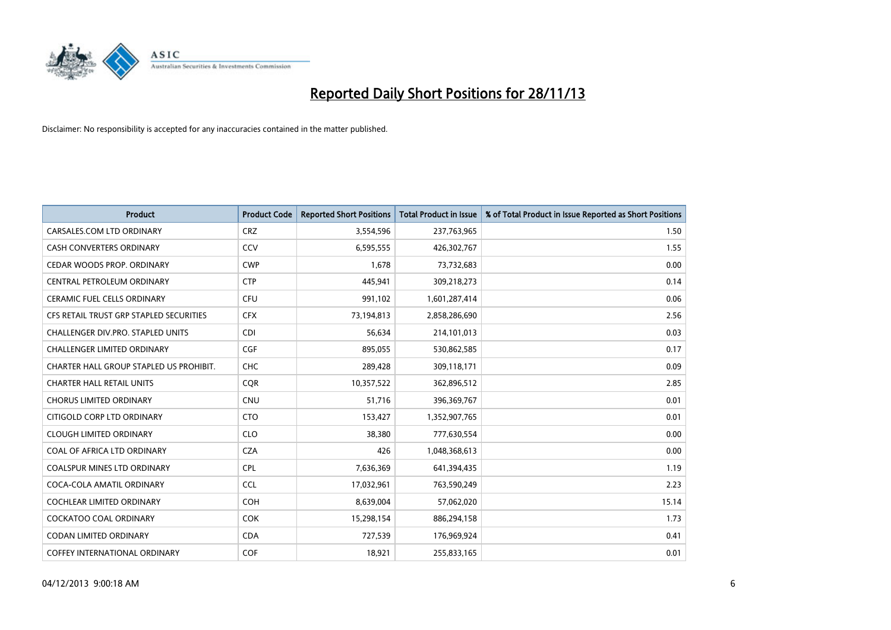

| <b>Product</b>                          | <b>Product Code</b> | <b>Reported Short Positions</b> | <b>Total Product in Issue</b> | % of Total Product in Issue Reported as Short Positions |
|-----------------------------------------|---------------------|---------------------------------|-------------------------------|---------------------------------------------------------|
| CARSALES.COM LTD ORDINARY               | <b>CRZ</b>          | 3,554,596                       | 237,763,965                   | 1.50                                                    |
| CASH CONVERTERS ORDINARY                | CCV                 | 6,595,555                       | 426,302,767                   | 1.55                                                    |
| CEDAR WOODS PROP. ORDINARY              | <b>CWP</b>          | 1,678                           | 73,732,683                    | 0.00                                                    |
| CENTRAL PETROLEUM ORDINARY              | <b>CTP</b>          | 445,941                         | 309,218,273                   | 0.14                                                    |
| <b>CERAMIC FUEL CELLS ORDINARY</b>      | <b>CFU</b>          | 991,102                         | 1,601,287,414                 | 0.06                                                    |
| CFS RETAIL TRUST GRP STAPLED SECURITIES | <b>CFX</b>          | 73,194,813                      | 2,858,286,690                 | 2.56                                                    |
| CHALLENGER DIV.PRO. STAPLED UNITS       | <b>CDI</b>          | 56,634                          | 214,101,013                   | 0.03                                                    |
| <b>CHALLENGER LIMITED ORDINARY</b>      | <b>CGF</b>          | 895,055                         | 530,862,585                   | 0.17                                                    |
| CHARTER HALL GROUP STAPLED US PROHIBIT. | <b>CHC</b>          | 289,428                         | 309,118,171                   | 0.09                                                    |
| <b>CHARTER HALL RETAIL UNITS</b>        | <b>COR</b>          | 10,357,522                      | 362,896,512                   | 2.85                                                    |
| <b>CHORUS LIMITED ORDINARY</b>          | <b>CNU</b>          | 51,716                          | 396,369,767                   | 0.01                                                    |
| CITIGOLD CORP LTD ORDINARY              | <b>CTO</b>          | 153,427                         | 1,352,907,765                 | 0.01                                                    |
| <b>CLOUGH LIMITED ORDINARY</b>          | <b>CLO</b>          | 38,380                          | 777,630,554                   | 0.00                                                    |
| COAL OF AFRICA LTD ORDINARY             | <b>CZA</b>          | 426                             | 1,048,368,613                 | 0.00                                                    |
| <b>COALSPUR MINES LTD ORDINARY</b>      | <b>CPL</b>          | 7,636,369                       | 641,394,435                   | 1.19                                                    |
| COCA-COLA AMATIL ORDINARY               | <b>CCL</b>          | 17,032,961                      | 763,590,249                   | 2.23                                                    |
| COCHLEAR LIMITED ORDINARY               | <b>COH</b>          | 8,639,004                       | 57,062,020                    | 15.14                                                   |
| <b>COCKATOO COAL ORDINARY</b>           | COK                 | 15,298,154                      | 886,294,158                   | 1.73                                                    |
| <b>CODAN LIMITED ORDINARY</b>           | <b>CDA</b>          | 727,539                         | 176,969,924                   | 0.41                                                    |
| COFFEY INTERNATIONAL ORDINARY           | <b>COF</b>          | 18,921                          | 255,833,165                   | 0.01                                                    |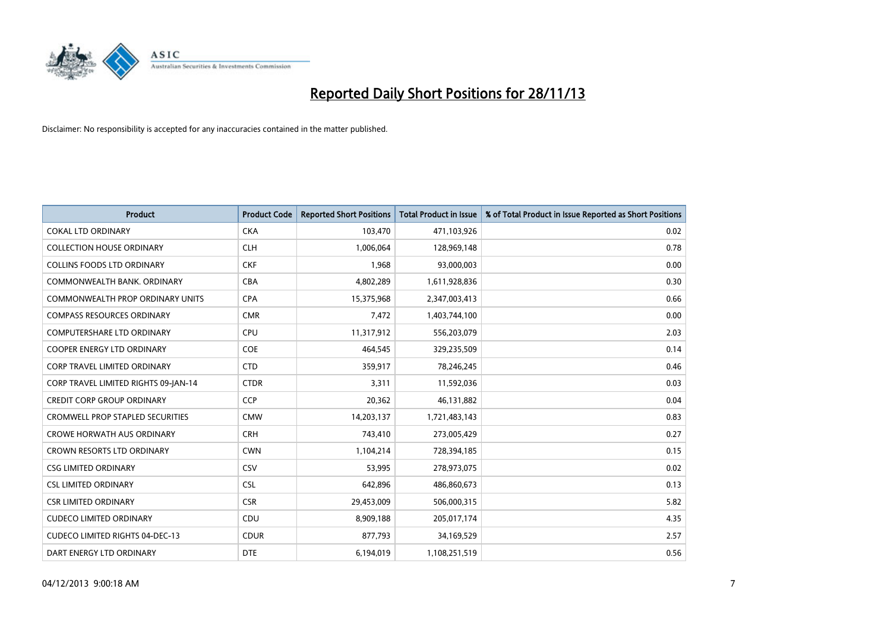

| <b>Product</b>                          | <b>Product Code</b> | <b>Reported Short Positions</b> | <b>Total Product in Issue</b> | % of Total Product in Issue Reported as Short Positions |
|-----------------------------------------|---------------------|---------------------------------|-------------------------------|---------------------------------------------------------|
| <b>COKAL LTD ORDINARY</b>               | <b>CKA</b>          | 103,470                         | 471,103,926                   | 0.02                                                    |
| <b>COLLECTION HOUSE ORDINARY</b>        | <b>CLH</b>          | 1,006,064                       | 128,969,148                   | 0.78                                                    |
| <b>COLLINS FOODS LTD ORDINARY</b>       | <b>CKF</b>          | 1,968                           | 93,000,003                    | 0.00                                                    |
| COMMONWEALTH BANK, ORDINARY             | <b>CBA</b>          | 4,802,289                       | 1,611,928,836                 | 0.30                                                    |
| <b>COMMONWEALTH PROP ORDINARY UNITS</b> | <b>CPA</b>          | 15,375,968                      | 2,347,003,413                 | 0.66                                                    |
| <b>COMPASS RESOURCES ORDINARY</b>       | <b>CMR</b>          | 7,472                           | 1,403,744,100                 | 0.00                                                    |
| <b>COMPUTERSHARE LTD ORDINARY</b>       | <b>CPU</b>          | 11,317,912                      | 556,203,079                   | 2.03                                                    |
| <b>COOPER ENERGY LTD ORDINARY</b>       | <b>COE</b>          | 464,545                         | 329,235,509                   | 0.14                                                    |
| CORP TRAVEL LIMITED ORDINARY            | <b>CTD</b>          | 359,917                         | 78,246,245                    | 0.46                                                    |
| CORP TRAVEL LIMITED RIGHTS 09-JAN-14    | <b>CTDR</b>         | 3,311                           | 11,592,036                    | 0.03                                                    |
| <b>CREDIT CORP GROUP ORDINARY</b>       | <b>CCP</b>          | 20,362                          | 46,131,882                    | 0.04                                                    |
| <b>CROMWELL PROP STAPLED SECURITIES</b> | <b>CMW</b>          | 14,203,137                      | 1,721,483,143                 | 0.83                                                    |
| <b>CROWE HORWATH AUS ORDINARY</b>       | <b>CRH</b>          | 743,410                         | 273,005,429                   | 0.27                                                    |
| <b>CROWN RESORTS LTD ORDINARY</b>       | <b>CWN</b>          | 1,104,214                       | 728,394,185                   | 0.15                                                    |
| <b>CSG LIMITED ORDINARY</b>             | CSV                 | 53,995                          | 278,973,075                   | 0.02                                                    |
| <b>CSL LIMITED ORDINARY</b>             | <b>CSL</b>          | 642,896                         | 486,860,673                   | 0.13                                                    |
| <b>CSR LIMITED ORDINARY</b>             | <b>CSR</b>          | 29,453,009                      | 506,000,315                   | 5.82                                                    |
| <b>CUDECO LIMITED ORDINARY</b>          | <b>CDU</b>          | 8,909,188                       | 205,017,174                   | 4.35                                                    |
| <b>CUDECO LIMITED RIGHTS 04-DEC-13</b>  | <b>CDUR</b>         | 877,793                         | 34,169,529                    | 2.57                                                    |
| DART ENERGY LTD ORDINARY                | <b>DTE</b>          | 6,194,019                       | 1,108,251,519                 | 0.56                                                    |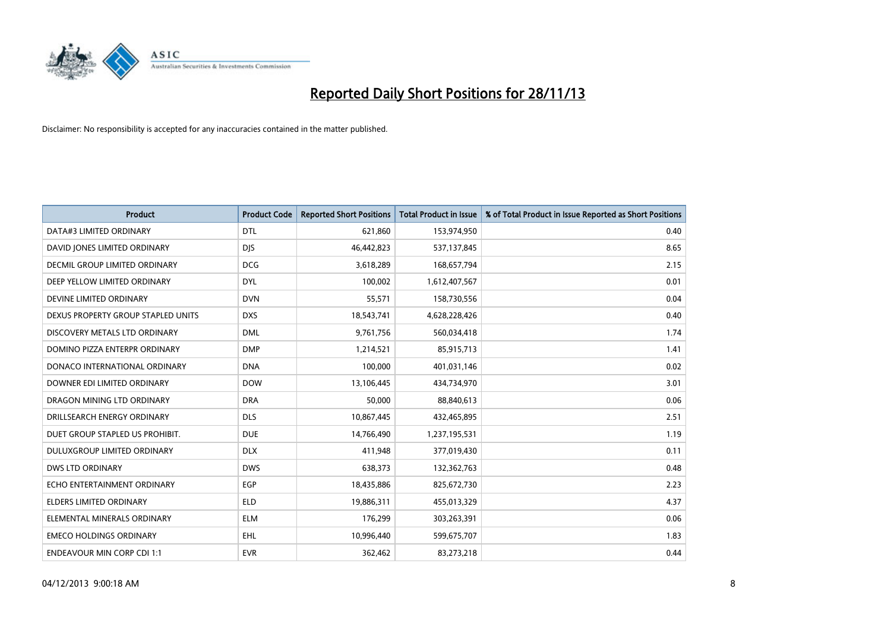

| <b>Product</b>                     | <b>Product Code</b> | <b>Reported Short Positions</b> | <b>Total Product in Issue</b> | % of Total Product in Issue Reported as Short Positions |
|------------------------------------|---------------------|---------------------------------|-------------------------------|---------------------------------------------------------|
| DATA#3 LIMITED ORDINARY            | <b>DTL</b>          | 621,860                         | 153,974,950                   | 0.40                                                    |
| DAVID JONES LIMITED ORDINARY       | <b>DIS</b>          | 46,442,823                      | 537,137,845                   | 8.65                                                    |
| DECMIL GROUP LIMITED ORDINARY      | <b>DCG</b>          | 3,618,289                       | 168,657,794                   | 2.15                                                    |
| DEEP YELLOW LIMITED ORDINARY       | <b>DYL</b>          | 100,002                         | 1,612,407,567                 | 0.01                                                    |
| DEVINE LIMITED ORDINARY            | <b>DVN</b>          | 55,571                          | 158,730,556                   | 0.04                                                    |
| DEXUS PROPERTY GROUP STAPLED UNITS | <b>DXS</b>          | 18,543,741                      | 4,628,228,426                 | 0.40                                                    |
| DISCOVERY METALS LTD ORDINARY      | <b>DML</b>          | 9,761,756                       | 560,034,418                   | 1.74                                                    |
| DOMINO PIZZA ENTERPR ORDINARY      | <b>DMP</b>          | 1,214,521                       | 85,915,713                    | 1.41                                                    |
| DONACO INTERNATIONAL ORDINARY      | <b>DNA</b>          | 100,000                         | 401,031,146                   | 0.02                                                    |
| DOWNER EDI LIMITED ORDINARY        | <b>DOW</b>          | 13,106,445                      | 434,734,970                   | 3.01                                                    |
| DRAGON MINING LTD ORDINARY         | <b>DRA</b>          | 50,000                          | 88,840,613                    | 0.06                                                    |
| DRILLSEARCH ENERGY ORDINARY        | <b>DLS</b>          | 10,867,445                      | 432,465,895                   | 2.51                                                    |
| DUET GROUP STAPLED US PROHIBIT.    | <b>DUE</b>          | 14,766,490                      | 1,237,195,531                 | 1.19                                                    |
| DULUXGROUP LIMITED ORDINARY        | <b>DLX</b>          | 411,948                         | 377,019,430                   | 0.11                                                    |
| <b>DWS LTD ORDINARY</b>            | <b>DWS</b>          | 638,373                         | 132,362,763                   | 0.48                                                    |
| ECHO ENTERTAINMENT ORDINARY        | <b>EGP</b>          | 18,435,886                      | 825,672,730                   | 2.23                                                    |
| ELDERS LIMITED ORDINARY            | <b>ELD</b>          | 19,886,311                      | 455,013,329                   | 4.37                                                    |
| ELEMENTAL MINERALS ORDINARY        | <b>ELM</b>          | 176,299                         | 303,263,391                   | 0.06                                                    |
| <b>EMECO HOLDINGS ORDINARY</b>     | EHL                 | 10,996,440                      | 599,675,707                   | 1.83                                                    |
| <b>ENDEAVOUR MIN CORP CDI 1:1</b>  | <b>EVR</b>          | 362,462                         | 83,273,218                    | 0.44                                                    |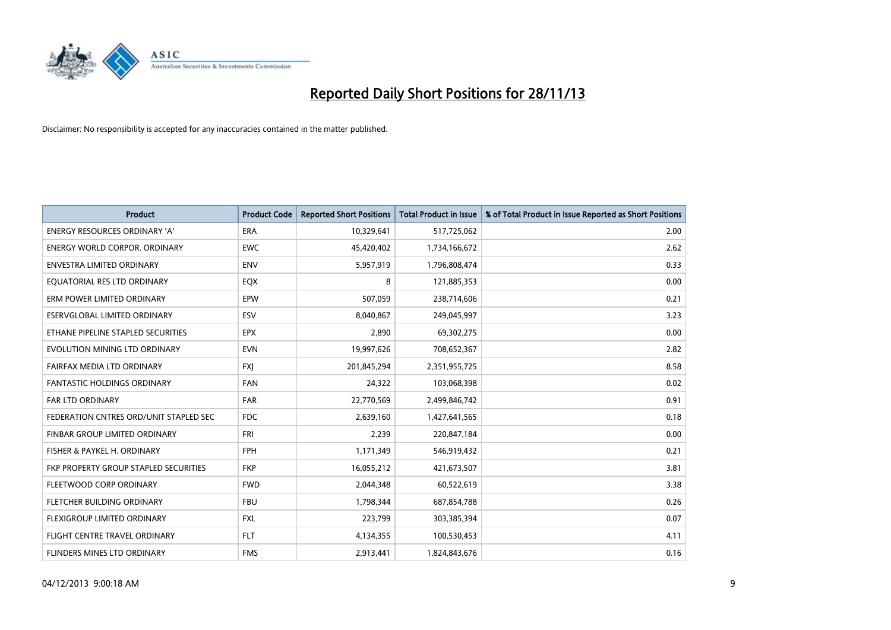

| <b>Product</b>                         | <b>Product Code</b> | <b>Reported Short Positions</b> | <b>Total Product in Issue</b> | % of Total Product in Issue Reported as Short Positions |
|----------------------------------------|---------------------|---------------------------------|-------------------------------|---------------------------------------------------------|
| <b>ENERGY RESOURCES ORDINARY 'A'</b>   | <b>ERA</b>          | 10,329,641                      | 517,725,062                   | 2.00                                                    |
| ENERGY WORLD CORPOR. ORDINARY          | <b>EWC</b>          | 45,420,402                      | 1,734,166,672                 | 2.62                                                    |
| ENVESTRA LIMITED ORDINARY              | <b>ENV</b>          | 5,957,919                       | 1,796,808,474                 | 0.33                                                    |
| EQUATORIAL RES LTD ORDINARY            | EQX                 | 8                               | 121,885,353                   | 0.00                                                    |
| ERM POWER LIMITED ORDINARY             | EPW                 | 507,059                         | 238,714,606                   | 0.21                                                    |
| ESERVGLOBAL LIMITED ORDINARY           | ESV                 | 8,040,867                       | 249,045,997                   | 3.23                                                    |
| ETHANE PIPELINE STAPLED SECURITIES     | <b>EPX</b>          | 2,890                           | 69,302,275                    | 0.00                                                    |
| EVOLUTION MINING LTD ORDINARY          | <b>EVN</b>          | 19,997,626                      | 708,652,367                   | 2.82                                                    |
| FAIRFAX MEDIA LTD ORDINARY             | <b>FXI</b>          | 201,845,294                     | 2,351,955,725                 | 8.58                                                    |
| <b>FANTASTIC HOLDINGS ORDINARY</b>     | <b>FAN</b>          | 24,322                          | 103,068,398                   | 0.02                                                    |
| <b>FAR LTD ORDINARY</b>                | <b>FAR</b>          | 22,770,569                      | 2,499,846,742                 | 0.91                                                    |
| FEDERATION CNTRES ORD/UNIT STAPLED SEC | <b>FDC</b>          | 2,639,160                       | 1,427,641,565                 | 0.18                                                    |
| FINBAR GROUP LIMITED ORDINARY          | <b>FRI</b>          | 2,239                           | 220,847,184                   | 0.00                                                    |
| FISHER & PAYKEL H. ORDINARY            | <b>FPH</b>          | 1,171,349                       | 546,919,432                   | 0.21                                                    |
| FKP PROPERTY GROUP STAPLED SECURITIES  | <b>FKP</b>          | 16,055,212                      | 421,673,507                   | 3.81                                                    |
| FLEETWOOD CORP ORDINARY                | <b>FWD</b>          | 2,044,348                       | 60,522,619                    | 3.38                                                    |
| FLETCHER BUILDING ORDINARY             | <b>FBU</b>          | 1,798,344                       | 687,854,788                   | 0.26                                                    |
| FLEXIGROUP LIMITED ORDINARY            | <b>FXL</b>          | 223,799                         | 303,385,394                   | 0.07                                                    |
| FLIGHT CENTRE TRAVEL ORDINARY          | <b>FLT</b>          | 4,134,355                       | 100,530,453                   | 4.11                                                    |
| <b>FLINDERS MINES LTD ORDINARY</b>     | <b>FMS</b>          | 2,913,441                       | 1,824,843,676                 | 0.16                                                    |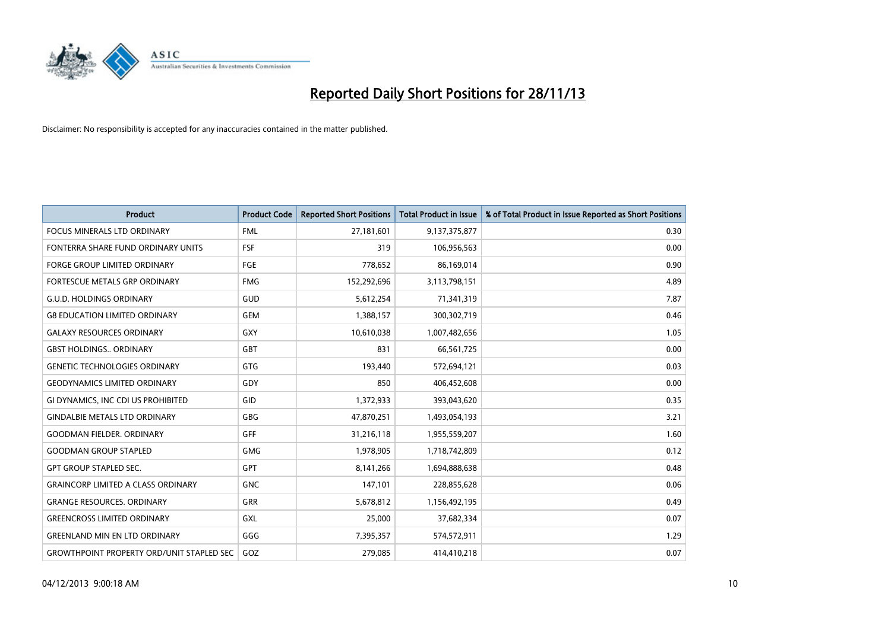

| <b>Product</b>                                   | <b>Product Code</b> | <b>Reported Short Positions</b> | <b>Total Product in Issue</b> | % of Total Product in Issue Reported as Short Positions |
|--------------------------------------------------|---------------------|---------------------------------|-------------------------------|---------------------------------------------------------|
| <b>FOCUS MINERALS LTD ORDINARY</b>               | <b>FML</b>          | 27,181,601                      | 9,137,375,877                 | 0.30                                                    |
| FONTERRA SHARE FUND ORDINARY UNITS               | <b>FSF</b>          | 319                             | 106,956,563                   | 0.00                                                    |
| <b>FORGE GROUP LIMITED ORDINARY</b>              | FGE                 | 778,652                         | 86,169,014                    | 0.90                                                    |
| FORTESCUE METALS GRP ORDINARY                    | <b>FMG</b>          | 152,292,696                     | 3,113,798,151                 | 4.89                                                    |
| <b>G.U.D. HOLDINGS ORDINARY</b>                  | <b>GUD</b>          | 5,612,254                       | 71,341,319                    | 7.87                                                    |
| <b>G8 EDUCATION LIMITED ORDINARY</b>             | <b>GEM</b>          | 1,388,157                       | 300,302,719                   | 0.46                                                    |
| <b>GALAXY RESOURCES ORDINARY</b>                 | <b>GXY</b>          | 10,610,038                      | 1,007,482,656                 | 1.05                                                    |
| <b>GBST HOLDINGS ORDINARY</b>                    | <b>GBT</b>          | 831                             | 66,561,725                    | 0.00                                                    |
| <b>GENETIC TECHNOLOGIES ORDINARY</b>             | GTG                 | 193,440                         | 572,694,121                   | 0.03                                                    |
| <b>GEODYNAMICS LIMITED ORDINARY</b>              | GDY                 | 850                             | 406,452,608                   | 0.00                                                    |
| GI DYNAMICS, INC CDI US PROHIBITED               | <b>GID</b>          | 1,372,933                       | 393,043,620                   | 0.35                                                    |
| <b>GINDALBIE METALS LTD ORDINARY</b>             | <b>GBG</b>          | 47,870,251                      | 1,493,054,193                 | 3.21                                                    |
| GOODMAN FIELDER. ORDINARY                        | <b>GFF</b>          | 31,216,118                      | 1,955,559,207                 | 1.60                                                    |
| <b>GOODMAN GROUP STAPLED</b>                     | <b>GMG</b>          | 1,978,905                       | 1,718,742,809                 | 0.12                                                    |
| <b>GPT GROUP STAPLED SEC.</b>                    | <b>GPT</b>          | 8,141,266                       | 1,694,888,638                 | 0.48                                                    |
| <b>GRAINCORP LIMITED A CLASS ORDINARY</b>        | <b>GNC</b>          | 147,101                         | 228,855,628                   | 0.06                                                    |
| <b>GRANGE RESOURCES, ORDINARY</b>                | <b>GRR</b>          | 5,678,812                       | 1,156,492,195                 | 0.49                                                    |
| <b>GREENCROSS LIMITED ORDINARY</b>               | <b>GXL</b>          | 25,000                          | 37,682,334                    | 0.07                                                    |
| <b>GREENLAND MIN EN LTD ORDINARY</b>             | GGG                 | 7,395,357                       | 574,572,911                   | 1.29                                                    |
| <b>GROWTHPOINT PROPERTY ORD/UNIT STAPLED SEC</b> | GOZ                 | 279,085                         | 414,410,218                   | 0.07                                                    |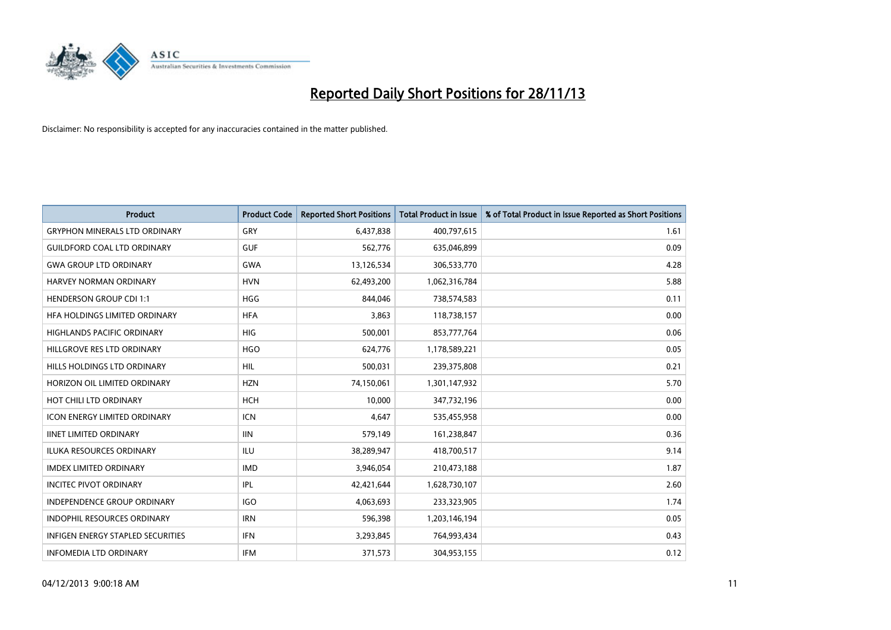

| <b>Product</b>                           | <b>Product Code</b> | <b>Reported Short Positions</b> | <b>Total Product in Issue</b> | % of Total Product in Issue Reported as Short Positions |
|------------------------------------------|---------------------|---------------------------------|-------------------------------|---------------------------------------------------------|
| <b>GRYPHON MINERALS LTD ORDINARY</b>     | GRY                 | 6,437,838                       | 400,797,615                   | 1.61                                                    |
| <b>GUILDFORD COAL LTD ORDINARY</b>       | <b>GUF</b>          | 562,776                         | 635,046,899                   | 0.09                                                    |
| <b>GWA GROUP LTD ORDINARY</b>            | <b>GWA</b>          | 13,126,534                      | 306,533,770                   | 4.28                                                    |
| HARVEY NORMAN ORDINARY                   | <b>HVN</b>          | 62,493,200                      | 1,062,316,784                 | 5.88                                                    |
| <b>HENDERSON GROUP CDI 1:1</b>           | <b>HGG</b>          | 844,046                         | 738,574,583                   | 0.11                                                    |
| HFA HOLDINGS LIMITED ORDINARY            | <b>HFA</b>          | 3,863                           | 118,738,157                   | 0.00                                                    |
| <b>HIGHLANDS PACIFIC ORDINARY</b>        | <b>HIG</b>          | 500,001                         | 853,777,764                   | 0.06                                                    |
| HILLGROVE RES LTD ORDINARY               | <b>HGO</b>          | 624,776                         | 1,178,589,221                 | 0.05                                                    |
| HILLS HOLDINGS LTD ORDINARY              | <b>HIL</b>          | 500,031                         | 239,375,808                   | 0.21                                                    |
| HORIZON OIL LIMITED ORDINARY             | <b>HZN</b>          | 74,150,061                      | 1,301,147,932                 | 5.70                                                    |
| HOT CHILI LTD ORDINARY                   | <b>HCH</b>          | 10,000                          | 347,732,196                   | 0.00                                                    |
| <b>ICON ENERGY LIMITED ORDINARY</b>      | <b>ICN</b>          | 4,647                           | 535,455,958                   | 0.00                                                    |
| <b>IINET LIMITED ORDINARY</b>            | <b>IIN</b>          | 579,149                         | 161,238,847                   | 0.36                                                    |
| <b>ILUKA RESOURCES ORDINARY</b>          | ILU                 | 38,289,947                      | 418,700,517                   | 9.14                                                    |
| <b>IMDEX LIMITED ORDINARY</b>            | <b>IMD</b>          | 3,946,054                       | 210,473,188                   | 1.87                                                    |
| <b>INCITEC PIVOT ORDINARY</b>            | IPL                 | 42,421,644                      | 1,628,730,107                 | 2.60                                                    |
| INDEPENDENCE GROUP ORDINARY              | <b>IGO</b>          | 4,063,693                       | 233,323,905                   | 1.74                                                    |
| INDOPHIL RESOURCES ORDINARY              | <b>IRN</b>          | 596,398                         | 1,203,146,194                 | 0.05                                                    |
| <b>INFIGEN ENERGY STAPLED SECURITIES</b> | <b>IFN</b>          | 3,293,845                       | 764,993,434                   | 0.43                                                    |
| <b>INFOMEDIA LTD ORDINARY</b>            | <b>IFM</b>          | 371,573                         | 304,953,155                   | 0.12                                                    |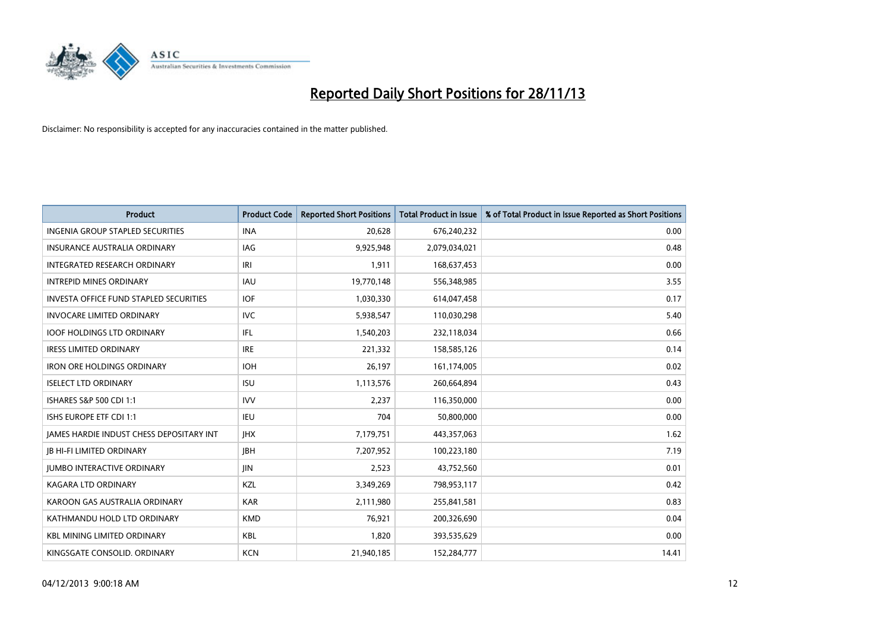

| <b>Product</b>                                | <b>Product Code</b> | <b>Reported Short Positions</b> | <b>Total Product in Issue</b> | % of Total Product in Issue Reported as Short Positions |
|-----------------------------------------------|---------------------|---------------------------------|-------------------------------|---------------------------------------------------------|
| <b>INGENIA GROUP STAPLED SECURITIES</b>       | <b>INA</b>          | 20,628                          | 676,240,232                   | 0.00                                                    |
| INSURANCE AUSTRALIA ORDINARY                  | IAG                 | 9,925,948                       | 2,079,034,021                 | 0.48                                                    |
| <b>INTEGRATED RESEARCH ORDINARY</b>           | IRI                 | 1,911                           | 168,637,453                   | 0.00                                                    |
| <b>INTREPID MINES ORDINARY</b>                | <b>IAU</b>          | 19,770,148                      | 556,348,985                   | 3.55                                                    |
| <b>INVESTA OFFICE FUND STAPLED SECURITIES</b> | <b>IOF</b>          | 1,030,330                       | 614,047,458                   | 0.17                                                    |
| <b>INVOCARE LIMITED ORDINARY</b>              | <b>IVC</b>          | 5,938,547                       | 110,030,298                   | 5.40                                                    |
| <b>IOOF HOLDINGS LTD ORDINARY</b>             | IFL                 | 1,540,203                       | 232,118,034                   | 0.66                                                    |
| <b>IRESS LIMITED ORDINARY</b>                 | <b>IRE</b>          | 221,332                         | 158,585,126                   | 0.14                                                    |
| <b>IRON ORE HOLDINGS ORDINARY</b>             | <b>IOH</b>          | 26,197                          | 161,174,005                   | 0.02                                                    |
| <b>ISELECT LTD ORDINARY</b>                   | <b>ISU</b>          | 1,113,576                       | 260,664,894                   | 0.43                                                    |
| ISHARES S&P 500 CDI 1:1                       | <b>IVV</b>          | 2,237                           | 116,350,000                   | 0.00                                                    |
| ISHS EUROPE ETF CDI 1:1                       | <b>IEU</b>          | 704                             | 50,800,000                    | 0.00                                                    |
| JAMES HARDIE INDUST CHESS DEPOSITARY INT      | <b>IHX</b>          | 7,179,751                       | 443,357,063                   | 1.62                                                    |
| <b>JB HI-FI LIMITED ORDINARY</b>              | <b>IBH</b>          | 7,207,952                       | 100,223,180                   | 7.19                                                    |
| <b>JUMBO INTERACTIVE ORDINARY</b>             | JIN.                | 2,523                           | 43,752,560                    | 0.01                                                    |
| KAGARA LTD ORDINARY                           | KZL                 | 3,349,269                       | 798,953,117                   | 0.42                                                    |
| KAROON GAS AUSTRALIA ORDINARY                 | <b>KAR</b>          | 2,111,980                       | 255,841,581                   | 0.83                                                    |
| KATHMANDU HOLD LTD ORDINARY                   | <b>KMD</b>          | 76,921                          | 200,326,690                   | 0.04                                                    |
| <b>KBL MINING LIMITED ORDINARY</b>            | <b>KBL</b>          | 1,820                           | 393,535,629                   | 0.00                                                    |
| KINGSGATE CONSOLID. ORDINARY                  | <b>KCN</b>          | 21,940,185                      | 152,284,777                   | 14.41                                                   |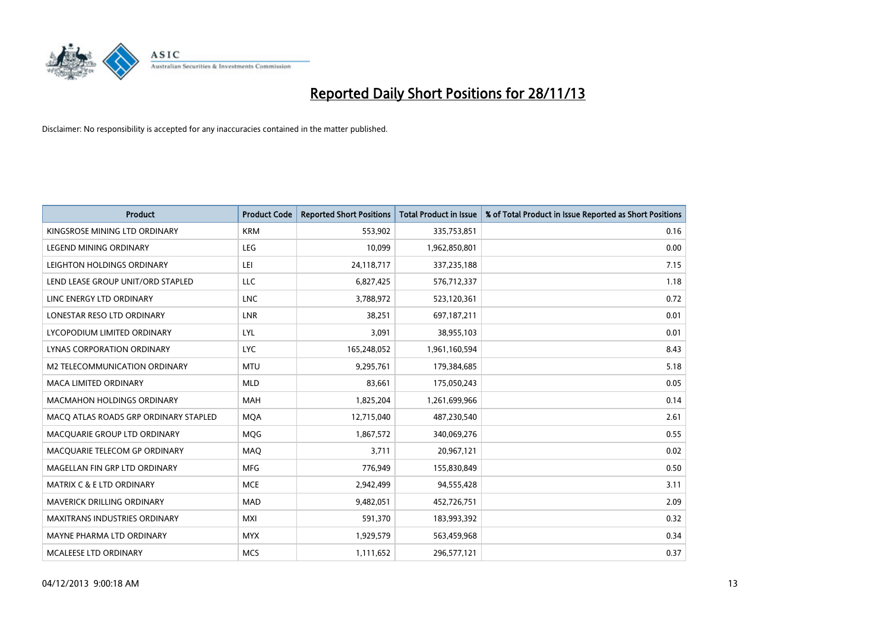

| <b>Product</b>                        | <b>Product Code</b> | <b>Reported Short Positions</b> | <b>Total Product in Issue</b> | % of Total Product in Issue Reported as Short Positions |
|---------------------------------------|---------------------|---------------------------------|-------------------------------|---------------------------------------------------------|
| KINGSROSE MINING LTD ORDINARY         | <b>KRM</b>          | 553,902                         | 335,753,851                   | 0.16                                                    |
| LEGEND MINING ORDINARY                | <b>LEG</b>          | 10,099                          | 1,962,850,801                 | 0.00                                                    |
| LEIGHTON HOLDINGS ORDINARY            | LEI                 | 24,118,717                      | 337,235,188                   | 7.15                                                    |
| LEND LEASE GROUP UNIT/ORD STAPLED     | <b>LLC</b>          | 6,827,425                       | 576,712,337                   | 1.18                                                    |
| LINC ENERGY LTD ORDINARY              | <b>LNC</b>          | 3,788,972                       | 523,120,361                   | 0.72                                                    |
| LONESTAR RESO LTD ORDINARY            | LNR                 | 38,251                          | 697,187,211                   | 0.01                                                    |
| LYCOPODIUM LIMITED ORDINARY           | LYL                 | 3,091                           | 38,955,103                    | 0.01                                                    |
| LYNAS CORPORATION ORDINARY            | <b>LYC</b>          | 165,248,052                     | 1,961,160,594                 | 8.43                                                    |
| <b>M2 TELECOMMUNICATION ORDINARY</b>  | <b>MTU</b>          | 9,295,761                       | 179,384,685                   | 5.18                                                    |
| <b>MACA LIMITED ORDINARY</b>          | <b>MLD</b>          | 83,661                          | 175,050,243                   | 0.05                                                    |
| MACMAHON HOLDINGS ORDINARY            | <b>MAH</b>          | 1,825,204                       | 1,261,699,966                 | 0.14                                                    |
| MACO ATLAS ROADS GRP ORDINARY STAPLED | <b>MQA</b>          | 12,715,040                      | 487,230,540                   | 2.61                                                    |
| MACQUARIE GROUP LTD ORDINARY          | MQG                 | 1,867,572                       | 340,069,276                   | 0.55                                                    |
| MACQUARIE TELECOM GP ORDINARY         | MAQ                 | 3,711                           | 20,967,121                    | 0.02                                                    |
| MAGELLAN FIN GRP LTD ORDINARY         | <b>MFG</b>          | 776,949                         | 155,830,849                   | 0.50                                                    |
| MATRIX C & E LTD ORDINARY             | <b>MCE</b>          | 2,942,499                       | 94,555,428                    | 3.11                                                    |
| MAVERICK DRILLING ORDINARY            | <b>MAD</b>          | 9,482,051                       | 452,726,751                   | 2.09                                                    |
| <b>MAXITRANS INDUSTRIES ORDINARY</b>  | <b>MXI</b>          | 591,370                         | 183,993,392                   | 0.32                                                    |
| MAYNE PHARMA LTD ORDINARY             | <b>MYX</b>          | 1,929,579                       | 563,459,968                   | 0.34                                                    |
| MCALEESE LTD ORDINARY                 | <b>MCS</b>          | 1,111,652                       | 296,577,121                   | 0.37                                                    |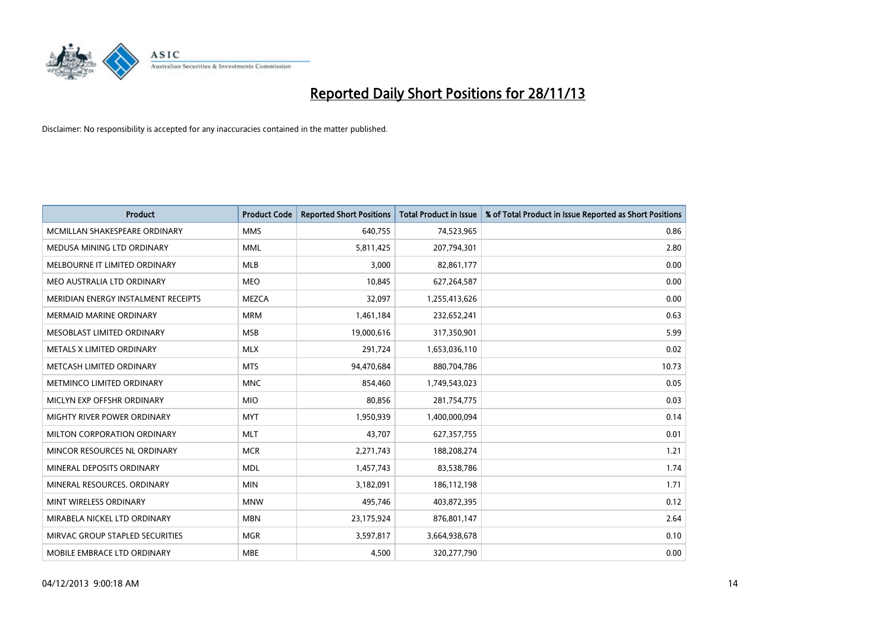

| <b>Product</b>                      | <b>Product Code</b> | <b>Reported Short Positions</b> | <b>Total Product in Issue</b> | % of Total Product in Issue Reported as Short Positions |
|-------------------------------------|---------------------|---------------------------------|-------------------------------|---------------------------------------------------------|
| MCMILLAN SHAKESPEARE ORDINARY       | <b>MMS</b>          | 640,755                         | 74,523,965                    | 0.86                                                    |
| MEDUSA MINING LTD ORDINARY          | <b>MML</b>          | 5,811,425                       | 207,794,301                   | 2.80                                                    |
| MELBOURNE IT LIMITED ORDINARY       | <b>MLB</b>          | 3,000                           | 82,861,177                    | 0.00                                                    |
| MEO AUSTRALIA LTD ORDINARY          | <b>MEO</b>          | 10,845                          | 627,264,587                   | 0.00                                                    |
| MERIDIAN ENERGY INSTALMENT RECEIPTS | <b>MEZCA</b>        | 32,097                          | 1,255,413,626                 | 0.00                                                    |
| <b>MERMAID MARINE ORDINARY</b>      | <b>MRM</b>          | 1,461,184                       | 232,652,241                   | 0.63                                                    |
| MESOBLAST LIMITED ORDINARY          | <b>MSB</b>          | 19,000,616                      | 317,350,901                   | 5.99                                                    |
| METALS X LIMITED ORDINARY           | <b>MLX</b>          | 291,724                         | 1,653,036,110                 | 0.02                                                    |
| METCASH LIMITED ORDINARY            | <b>MTS</b>          | 94,470,684                      | 880,704,786                   | 10.73                                                   |
| METMINCO LIMITED ORDINARY           | <b>MNC</b>          | 854,460                         | 1,749,543,023                 | 0.05                                                    |
| MICLYN EXP OFFSHR ORDINARY          | <b>MIO</b>          | 80,856                          | 281,754,775                   | 0.03                                                    |
| MIGHTY RIVER POWER ORDINARY         | <b>MYT</b>          | 1,950,939                       | 1,400,000,094                 | 0.14                                                    |
| MILTON CORPORATION ORDINARY         | <b>MLT</b>          | 43,707                          | 627,357,755                   | 0.01                                                    |
| MINCOR RESOURCES NL ORDINARY        | <b>MCR</b>          | 2,271,743                       | 188,208,274                   | 1.21                                                    |
| MINERAL DEPOSITS ORDINARY           | <b>MDL</b>          | 1,457,743                       | 83,538,786                    | 1.74                                                    |
| MINERAL RESOURCES, ORDINARY         | <b>MIN</b>          | 3,182,091                       | 186,112,198                   | 1.71                                                    |
| MINT WIRELESS ORDINARY              | <b>MNW</b>          | 495,746                         | 403,872,395                   | 0.12                                                    |
| MIRABELA NICKEL LTD ORDINARY        | <b>MBN</b>          | 23,175,924                      | 876,801,147                   | 2.64                                                    |
| MIRVAC GROUP STAPLED SECURITIES     | <b>MGR</b>          | 3,597,817                       | 3,664,938,678                 | 0.10                                                    |
| MOBILE EMBRACE LTD ORDINARY         | <b>MBE</b>          | 4,500                           | 320,277,790                   | 0.00                                                    |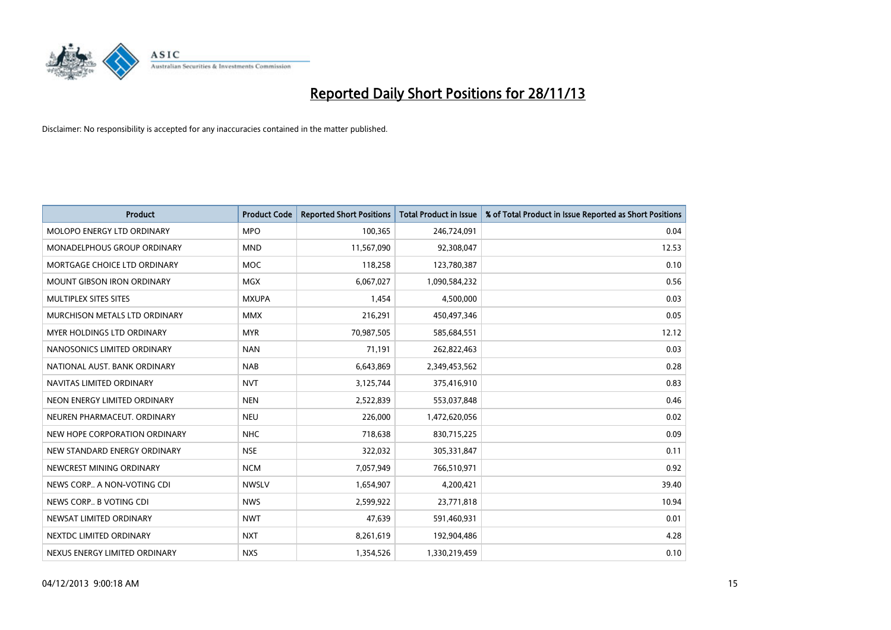

| <b>Product</b>                    | <b>Product Code</b> | <b>Reported Short Positions</b> | <b>Total Product in Issue</b> | % of Total Product in Issue Reported as Short Positions |
|-----------------------------------|---------------------|---------------------------------|-------------------------------|---------------------------------------------------------|
| MOLOPO ENERGY LTD ORDINARY        | <b>MPO</b>          | 100,365                         | 246,724,091                   | 0.04                                                    |
| MONADELPHOUS GROUP ORDINARY       | <b>MND</b>          | 11,567,090                      | 92,308,047                    | 12.53                                                   |
| MORTGAGE CHOICE LTD ORDINARY      | MOC                 | 118,258                         | 123,780,387                   | 0.10                                                    |
| <b>MOUNT GIBSON IRON ORDINARY</b> | <b>MGX</b>          | 6,067,027                       | 1,090,584,232                 | 0.56                                                    |
| MULTIPLEX SITES SITES             | <b>MXUPA</b>        | 1,454                           | 4,500,000                     | 0.03                                                    |
| MURCHISON METALS LTD ORDINARY     | <b>MMX</b>          | 216,291                         | 450,497,346                   | 0.05                                                    |
| MYER HOLDINGS LTD ORDINARY        | <b>MYR</b>          | 70,987,505                      | 585,684,551                   | 12.12                                                   |
| NANOSONICS LIMITED ORDINARY       | <b>NAN</b>          | 71,191                          | 262,822,463                   | 0.03                                                    |
| NATIONAL AUST, BANK ORDINARY      | <b>NAB</b>          | 6,643,869                       | 2,349,453,562                 | 0.28                                                    |
| NAVITAS LIMITED ORDINARY          | <b>NVT</b>          | 3,125,744                       | 375,416,910                   | 0.83                                                    |
| NEON ENERGY LIMITED ORDINARY      | <b>NEN</b>          | 2,522,839                       | 553,037,848                   | 0.46                                                    |
| NEUREN PHARMACEUT, ORDINARY       | <b>NEU</b>          | 226,000                         | 1,472,620,056                 | 0.02                                                    |
| NEW HOPE CORPORATION ORDINARY     | <b>NHC</b>          | 718,638                         | 830,715,225                   | 0.09                                                    |
| NEW STANDARD ENERGY ORDINARY      | <b>NSE</b>          | 322,032                         | 305,331,847                   | 0.11                                                    |
| NEWCREST MINING ORDINARY          | <b>NCM</b>          | 7,057,949                       | 766,510,971                   | 0.92                                                    |
| NEWS CORP A NON-VOTING CDI        | <b>NWSLV</b>        | 1,654,907                       | 4,200,421                     | 39.40                                                   |
| NEWS CORP B VOTING CDI            | <b>NWS</b>          | 2,599,922                       | 23,771,818                    | 10.94                                                   |
| NEWSAT LIMITED ORDINARY           | <b>NWT</b>          | 47,639                          | 591,460,931                   | 0.01                                                    |
| NEXTDC LIMITED ORDINARY           | <b>NXT</b>          | 8,261,619                       | 192,904,486                   | 4.28                                                    |
| NEXUS ENERGY LIMITED ORDINARY     | <b>NXS</b>          | 1,354,526                       | 1,330,219,459                 | 0.10                                                    |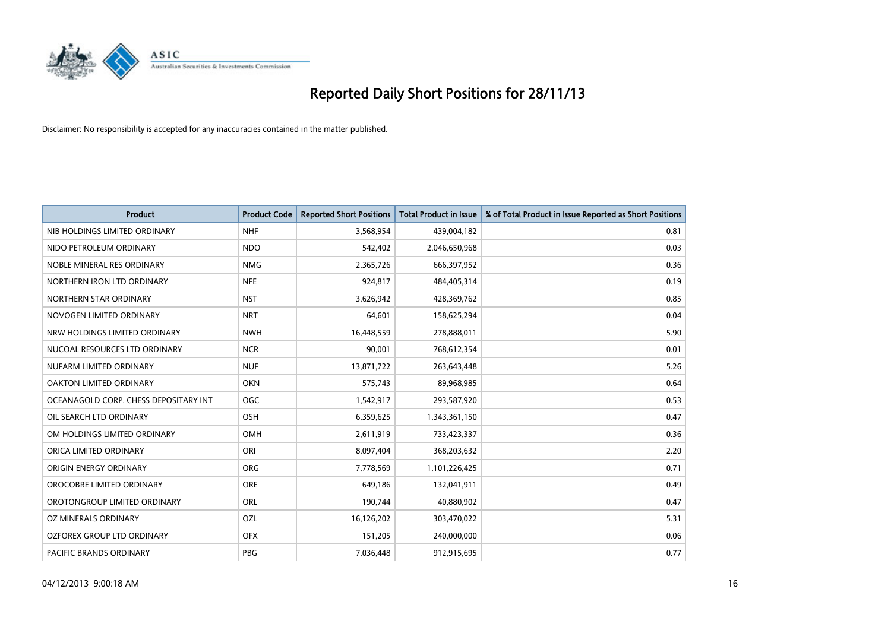

| <b>Product</b>                        | <b>Product Code</b> | <b>Reported Short Positions</b> | <b>Total Product in Issue</b> | % of Total Product in Issue Reported as Short Positions |
|---------------------------------------|---------------------|---------------------------------|-------------------------------|---------------------------------------------------------|
| NIB HOLDINGS LIMITED ORDINARY         | <b>NHF</b>          | 3,568,954                       | 439,004,182                   | 0.81                                                    |
| NIDO PETROLEUM ORDINARY               | <b>NDO</b>          | 542,402                         | 2,046,650,968                 | 0.03                                                    |
| NOBLE MINERAL RES ORDINARY            | <b>NMG</b>          | 2,365,726                       | 666,397,952                   | 0.36                                                    |
| NORTHERN IRON LTD ORDINARY            | <b>NFE</b>          | 924,817                         | 484,405,314                   | 0.19                                                    |
| NORTHERN STAR ORDINARY                | <b>NST</b>          | 3,626,942                       | 428,369,762                   | 0.85                                                    |
| NOVOGEN LIMITED ORDINARY              | <b>NRT</b>          | 64,601                          | 158,625,294                   | 0.04                                                    |
| NRW HOLDINGS LIMITED ORDINARY         | <b>NWH</b>          | 16,448,559                      | 278,888,011                   | 5.90                                                    |
| NUCOAL RESOURCES LTD ORDINARY         | <b>NCR</b>          | 90,001                          | 768,612,354                   | 0.01                                                    |
| NUFARM LIMITED ORDINARY               | <b>NUF</b>          | 13,871,722                      | 263,643,448                   | 5.26                                                    |
| <b>OAKTON LIMITED ORDINARY</b>        | <b>OKN</b>          | 575,743                         | 89,968,985                    | 0.64                                                    |
| OCEANAGOLD CORP. CHESS DEPOSITARY INT | <b>OGC</b>          | 1,542,917                       | 293,587,920                   | 0.53                                                    |
| OIL SEARCH LTD ORDINARY               | OSH                 | 6,359,625                       | 1,343,361,150                 | 0.47                                                    |
| OM HOLDINGS LIMITED ORDINARY          | OMH                 | 2,611,919                       | 733,423,337                   | 0.36                                                    |
| ORICA LIMITED ORDINARY                | ORI                 | 8,097,404                       | 368,203,632                   | 2.20                                                    |
| ORIGIN ENERGY ORDINARY                | ORG                 | 7,778,569                       | 1,101,226,425                 | 0.71                                                    |
| OROCOBRE LIMITED ORDINARY             | <b>ORE</b>          | 649,186                         | 132,041,911                   | 0.49                                                    |
| OROTONGROUP LIMITED ORDINARY          | ORL                 | 190,744                         | 40,880,902                    | 0.47                                                    |
| <b>OZ MINERALS ORDINARY</b>           | OZL                 | 16,126,202                      | 303,470,022                   | 5.31                                                    |
| OZFOREX GROUP LTD ORDINARY            | <b>OFX</b>          | 151,205                         | 240,000,000                   | 0.06                                                    |
| PACIFIC BRANDS ORDINARY               | <b>PBG</b>          | 7,036,448                       | 912,915,695                   | 0.77                                                    |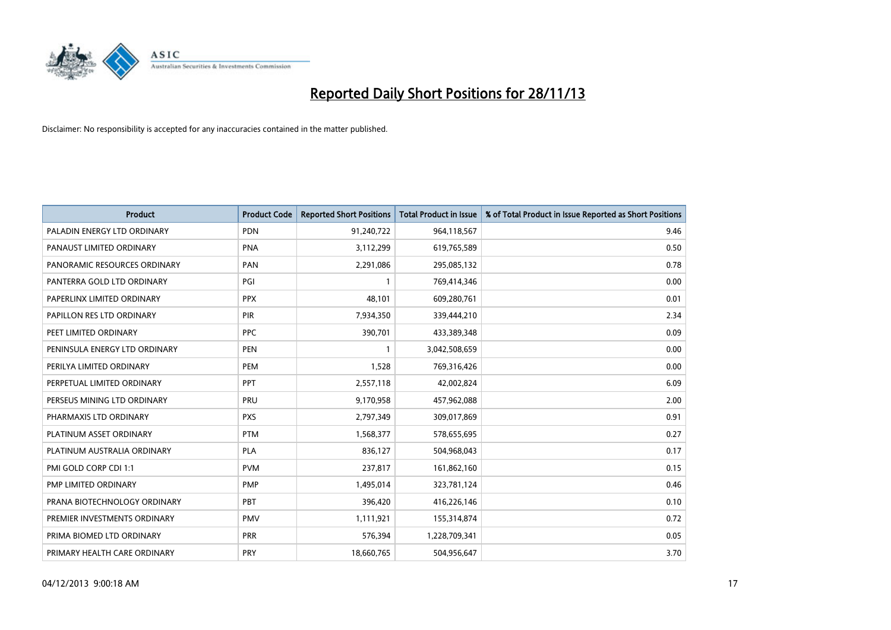

| <b>Product</b>                | <b>Product Code</b> | <b>Reported Short Positions</b> | <b>Total Product in Issue</b> | % of Total Product in Issue Reported as Short Positions |
|-------------------------------|---------------------|---------------------------------|-------------------------------|---------------------------------------------------------|
| PALADIN ENERGY LTD ORDINARY   | <b>PDN</b>          | 91,240,722                      | 964,118,567                   | 9.46                                                    |
| PANAUST LIMITED ORDINARY      | <b>PNA</b>          | 3,112,299                       | 619,765,589                   | 0.50                                                    |
| PANORAMIC RESOURCES ORDINARY  | PAN                 | 2,291,086                       | 295,085,132                   | 0.78                                                    |
| PANTERRA GOLD LTD ORDINARY    | PGI                 | $\mathbf{1}$                    | 769,414,346                   | 0.00                                                    |
| PAPERLINX LIMITED ORDINARY    | <b>PPX</b>          | 48,101                          | 609,280,761                   | 0.01                                                    |
| PAPILLON RES LTD ORDINARY     | PIR                 | 7,934,350                       | 339,444,210                   | 2.34                                                    |
| PEET LIMITED ORDINARY         | <b>PPC</b>          | 390,701                         | 433,389,348                   | 0.09                                                    |
| PENINSULA ENERGY LTD ORDINARY | <b>PEN</b>          | $\mathbf{1}$                    | 3,042,508,659                 | 0.00                                                    |
| PERILYA LIMITED ORDINARY      | PEM                 | 1,528                           | 769,316,426                   | 0.00                                                    |
| PERPETUAL LIMITED ORDINARY    | <b>PPT</b>          | 2,557,118                       | 42,002,824                    | 6.09                                                    |
| PERSEUS MINING LTD ORDINARY   | PRU                 | 9,170,958                       | 457,962,088                   | 2.00                                                    |
| PHARMAXIS LTD ORDINARY        | <b>PXS</b>          | 2,797,349                       | 309,017,869                   | 0.91                                                    |
| PLATINUM ASSET ORDINARY       | <b>PTM</b>          | 1,568,377                       | 578,655,695                   | 0.27                                                    |
| PLATINUM AUSTRALIA ORDINARY   | PLA                 | 836,127                         | 504,968,043                   | 0.17                                                    |
| PMI GOLD CORP CDI 1:1         | <b>PVM</b>          | 237,817                         | 161,862,160                   | 0.15                                                    |
| PMP LIMITED ORDINARY          | <b>PMP</b>          | 1,495,014                       | 323,781,124                   | 0.46                                                    |
| PRANA BIOTECHNOLOGY ORDINARY  | PBT                 | 396,420                         | 416,226,146                   | 0.10                                                    |
| PREMIER INVESTMENTS ORDINARY  | <b>PMV</b>          | 1,111,921                       | 155,314,874                   | 0.72                                                    |
| PRIMA BIOMED LTD ORDINARY     | <b>PRR</b>          | 576,394                         | 1,228,709,341                 | 0.05                                                    |
| PRIMARY HEALTH CARE ORDINARY  | <b>PRY</b>          | 18,660,765                      | 504,956,647                   | 3.70                                                    |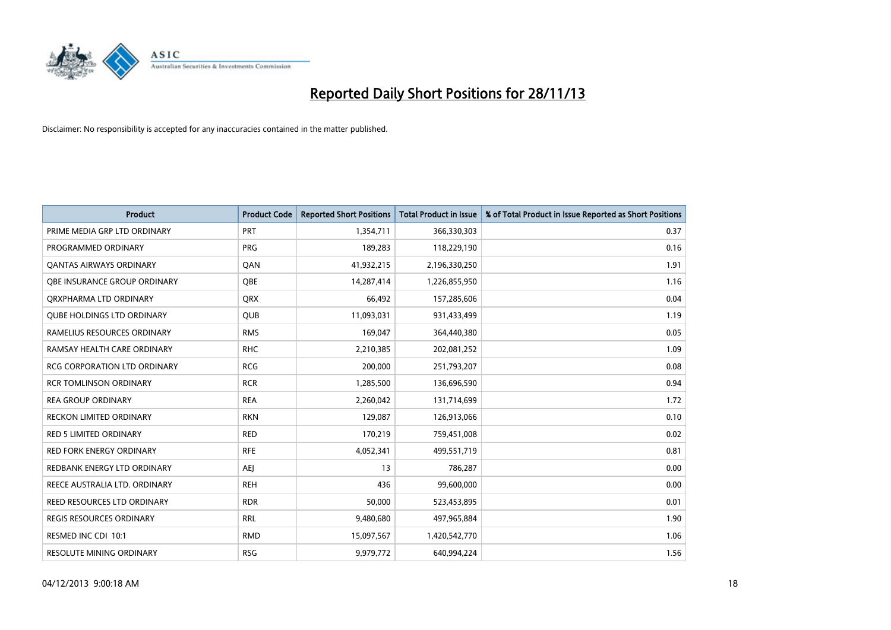

| <b>Product</b>                      | <b>Product Code</b> | <b>Reported Short Positions</b> | <b>Total Product in Issue</b> | % of Total Product in Issue Reported as Short Positions |
|-------------------------------------|---------------------|---------------------------------|-------------------------------|---------------------------------------------------------|
| PRIME MEDIA GRP LTD ORDINARY        | <b>PRT</b>          | 1,354,711                       | 366,330,303                   | 0.37                                                    |
| PROGRAMMED ORDINARY                 | <b>PRG</b>          | 189,283                         | 118,229,190                   | 0.16                                                    |
| OANTAS AIRWAYS ORDINARY             | QAN                 | 41,932,215                      | 2,196,330,250                 | 1.91                                                    |
| OBE INSURANCE GROUP ORDINARY        | <b>OBE</b>          | 14,287,414                      | 1,226,855,950                 | 1.16                                                    |
| ORXPHARMA LTD ORDINARY              | <b>QRX</b>          | 66,492                          | 157,285,606                   | 0.04                                                    |
| <b>QUBE HOLDINGS LTD ORDINARY</b>   | <b>QUB</b>          | 11,093,031                      | 931,433,499                   | 1.19                                                    |
| RAMELIUS RESOURCES ORDINARY         | <b>RMS</b>          | 169,047                         | 364,440,380                   | 0.05                                                    |
| RAMSAY HEALTH CARE ORDINARY         | <b>RHC</b>          | 2,210,385                       | 202,081,252                   | 1.09                                                    |
| <b>RCG CORPORATION LTD ORDINARY</b> | <b>RCG</b>          | 200,000                         | 251,793,207                   | 0.08                                                    |
| <b>RCR TOMLINSON ORDINARY</b>       | <b>RCR</b>          | 1,285,500                       | 136,696,590                   | 0.94                                                    |
| <b>REA GROUP ORDINARY</b>           | <b>REA</b>          | 2,260,042                       | 131,714,699                   | 1.72                                                    |
| <b>RECKON LIMITED ORDINARY</b>      | <b>RKN</b>          | 129,087                         | 126,913,066                   | 0.10                                                    |
| <b>RED 5 LIMITED ORDINARY</b>       | <b>RED</b>          | 170,219                         | 759,451,008                   | 0.02                                                    |
| <b>RED FORK ENERGY ORDINARY</b>     | <b>RFE</b>          | 4,052,341                       | 499,551,719                   | 0.81                                                    |
| REDBANK ENERGY LTD ORDINARY         | AEJ                 | 13                              | 786,287                       | 0.00                                                    |
| REECE AUSTRALIA LTD. ORDINARY       | <b>REH</b>          | 436                             | 99,600,000                    | 0.00                                                    |
| REED RESOURCES LTD ORDINARY         | <b>RDR</b>          | 50,000                          | 523,453,895                   | 0.01                                                    |
| <b>REGIS RESOURCES ORDINARY</b>     | <b>RRL</b>          | 9,480,680                       | 497,965,884                   | 1.90                                                    |
| RESMED INC CDI 10:1                 | <b>RMD</b>          | 15,097,567                      | 1,420,542,770                 | 1.06                                                    |
| <b>RESOLUTE MINING ORDINARY</b>     | <b>RSG</b>          | 9,979,772                       | 640,994,224                   | 1.56                                                    |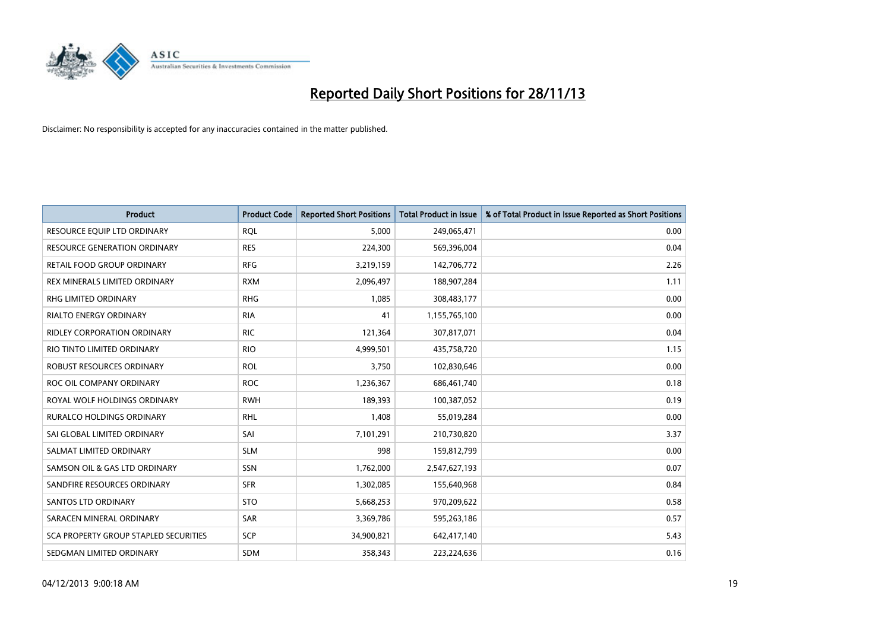

| <b>Product</b>                        | <b>Product Code</b> | <b>Reported Short Positions</b> | <b>Total Product in Issue</b> | % of Total Product in Issue Reported as Short Positions |
|---------------------------------------|---------------------|---------------------------------|-------------------------------|---------------------------------------------------------|
| RESOURCE EQUIP LTD ORDINARY           | <b>ROL</b>          | 5.000                           | 249,065,471                   | 0.00                                                    |
| <b>RESOURCE GENERATION ORDINARY</b>   | <b>RES</b>          | 224,300                         | 569,396,004                   | 0.04                                                    |
| RETAIL FOOD GROUP ORDINARY            | <b>RFG</b>          | 3,219,159                       | 142,706,772                   | 2.26                                                    |
| REX MINERALS LIMITED ORDINARY         | <b>RXM</b>          | 2,096,497                       | 188,907,284                   | 1.11                                                    |
| <b>RHG LIMITED ORDINARY</b>           | <b>RHG</b>          | 1,085                           | 308,483,177                   | 0.00                                                    |
| <b>RIALTO ENERGY ORDINARY</b>         | <b>RIA</b>          | 41                              | 1,155,765,100                 | 0.00                                                    |
| RIDLEY CORPORATION ORDINARY           | <b>RIC</b>          | 121,364                         | 307,817,071                   | 0.04                                                    |
| RIO TINTO LIMITED ORDINARY            | <b>RIO</b>          | 4,999,501                       | 435,758,720                   | 1.15                                                    |
| ROBUST RESOURCES ORDINARY             | <b>ROL</b>          | 3,750                           | 102,830,646                   | 0.00                                                    |
| ROC OIL COMPANY ORDINARY              | <b>ROC</b>          | 1,236,367                       | 686,461,740                   | 0.18                                                    |
| ROYAL WOLF HOLDINGS ORDINARY          | <b>RWH</b>          | 189,393                         | 100,387,052                   | 0.19                                                    |
| RURALCO HOLDINGS ORDINARY             | <b>RHL</b>          | 1,408                           | 55,019,284                    | 0.00                                                    |
| SAI GLOBAL LIMITED ORDINARY           | SAI                 | 7,101,291                       | 210,730,820                   | 3.37                                                    |
| SALMAT LIMITED ORDINARY               | <b>SLM</b>          | 998                             | 159,812,799                   | 0.00                                                    |
| SAMSON OIL & GAS LTD ORDINARY         | <b>SSN</b>          | 1,762,000                       | 2,547,627,193                 | 0.07                                                    |
| SANDFIRE RESOURCES ORDINARY           | <b>SFR</b>          | 1,302,085                       | 155,640,968                   | 0.84                                                    |
| SANTOS LTD ORDINARY                   | <b>STO</b>          | 5,668,253                       | 970,209,622                   | 0.58                                                    |
| SARACEN MINERAL ORDINARY              | <b>SAR</b>          | 3,369,786                       | 595,263,186                   | 0.57                                                    |
| SCA PROPERTY GROUP STAPLED SECURITIES | <b>SCP</b>          | 34,900,821                      | 642,417,140                   | 5.43                                                    |
| SEDGMAN LIMITED ORDINARY              | SDM                 | 358,343                         | 223,224,636                   | 0.16                                                    |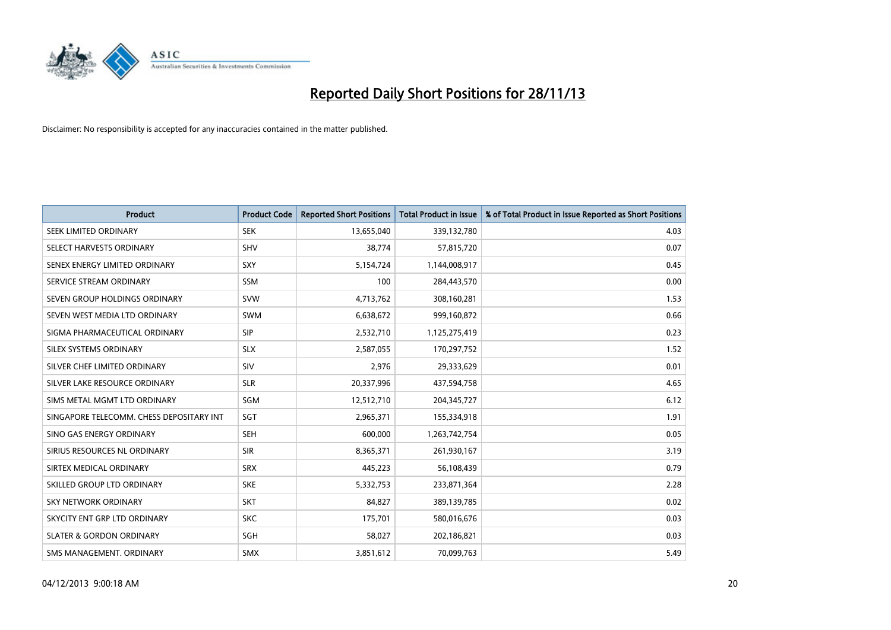

| <b>Product</b>                           | <b>Product Code</b> | <b>Reported Short Positions</b> | <b>Total Product in Issue</b> | % of Total Product in Issue Reported as Short Positions |
|------------------------------------------|---------------------|---------------------------------|-------------------------------|---------------------------------------------------------|
| SEEK LIMITED ORDINARY                    | <b>SEK</b>          | 13,655,040                      | 339,132,780                   | 4.03                                                    |
| SELECT HARVESTS ORDINARY                 | <b>SHV</b>          | 38,774                          | 57,815,720                    | 0.07                                                    |
| SENEX ENERGY LIMITED ORDINARY            | <b>SXY</b>          | 5,154,724                       | 1,144,008,917                 | 0.45                                                    |
| SERVICE STREAM ORDINARY                  | <b>SSM</b>          | 100                             | 284,443,570                   | 0.00                                                    |
| SEVEN GROUP HOLDINGS ORDINARY            | <b>SVW</b>          | 4,713,762                       | 308,160,281                   | 1.53                                                    |
| SEVEN WEST MEDIA LTD ORDINARY            | <b>SWM</b>          | 6,638,672                       | 999,160,872                   | 0.66                                                    |
| SIGMA PHARMACEUTICAL ORDINARY            | <b>SIP</b>          | 2,532,710                       | 1,125,275,419                 | 0.23                                                    |
| SILEX SYSTEMS ORDINARY                   | <b>SLX</b>          | 2,587,055                       | 170,297,752                   | 1.52                                                    |
| SILVER CHEF LIMITED ORDINARY             | SIV                 | 2,976                           | 29,333,629                    | 0.01                                                    |
| SILVER LAKE RESOURCE ORDINARY            | <b>SLR</b>          | 20,337,996                      | 437,594,758                   | 4.65                                                    |
| SIMS METAL MGMT LTD ORDINARY             | SGM                 | 12,512,710                      | 204, 345, 727                 | 6.12                                                    |
| SINGAPORE TELECOMM. CHESS DEPOSITARY INT | SGT                 | 2,965,371                       | 155,334,918                   | 1.91                                                    |
| SINO GAS ENERGY ORDINARY                 | SEH                 | 600,000                         | 1,263,742,754                 | 0.05                                                    |
| SIRIUS RESOURCES NL ORDINARY             | <b>SIR</b>          | 8,365,371                       | 261,930,167                   | 3.19                                                    |
| SIRTEX MEDICAL ORDINARY                  | <b>SRX</b>          | 445,223                         | 56,108,439                    | 0.79                                                    |
| SKILLED GROUP LTD ORDINARY               | <b>SKE</b>          | 5,332,753                       | 233,871,364                   | 2.28                                                    |
| SKY NETWORK ORDINARY                     | <b>SKT</b>          | 84,827                          | 389,139,785                   | 0.02                                                    |
| SKYCITY ENT GRP LTD ORDINARY             | <b>SKC</b>          | 175,701                         | 580,016,676                   | 0.03                                                    |
| <b>SLATER &amp; GORDON ORDINARY</b>      | SGH                 | 58,027                          | 202,186,821                   | 0.03                                                    |
| SMS MANAGEMENT. ORDINARY                 | SMX                 | 3,851,612                       | 70,099,763                    | 5.49                                                    |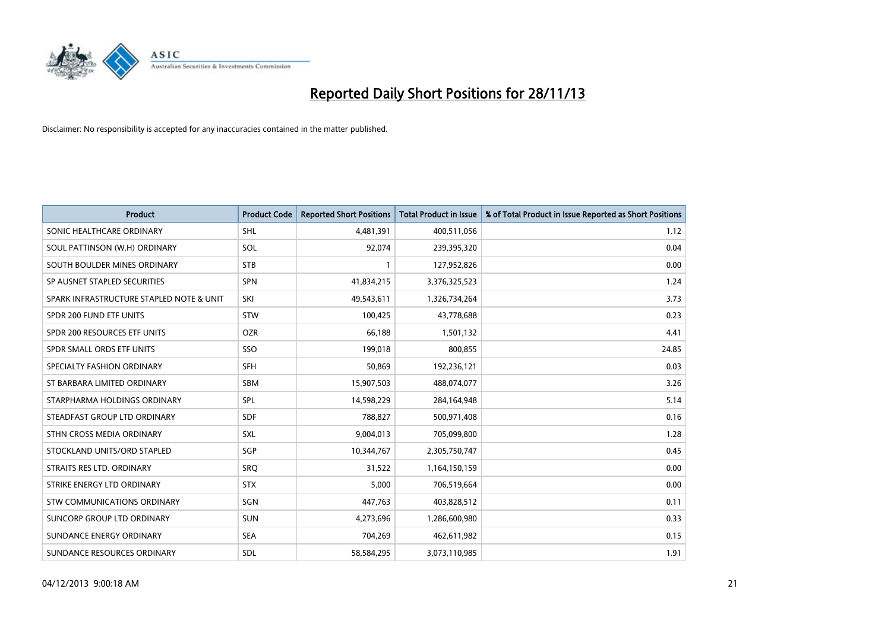

| <b>Product</b>                           | <b>Product Code</b> | <b>Reported Short Positions</b> | <b>Total Product in Issue</b> | % of Total Product in Issue Reported as Short Positions |
|------------------------------------------|---------------------|---------------------------------|-------------------------------|---------------------------------------------------------|
| SONIC HEALTHCARE ORDINARY                | <b>SHL</b>          | 4,481,391                       | 400,511,056                   | 1.12                                                    |
| SOUL PATTINSON (W.H) ORDINARY            | SOL                 | 92,074                          | 239,395,320                   | 0.04                                                    |
| SOUTH BOULDER MINES ORDINARY             | <b>STB</b>          | 1                               | 127,952,826                   | 0.00                                                    |
| SP AUSNET STAPLED SECURITIES             | <b>SPN</b>          | 41,834,215                      | 3,376,325,523                 | 1.24                                                    |
| SPARK INFRASTRUCTURE STAPLED NOTE & UNIT | SKI                 | 49,543,611                      | 1,326,734,264                 | 3.73                                                    |
| SPDR 200 FUND ETF UNITS                  | <b>STW</b>          | 100,425                         | 43,778,688                    | 0.23                                                    |
| SPDR 200 RESOURCES ETF UNITS             | <b>OZR</b>          | 66,188                          | 1,501,132                     | 4.41                                                    |
| SPDR SMALL ORDS ETF UNITS                | SSO                 | 199,018                         | 800,855                       | 24.85                                                   |
| SPECIALTY FASHION ORDINARY               | SFH                 | 50,869                          | 192,236,121                   | 0.03                                                    |
| ST BARBARA LIMITED ORDINARY              | <b>SBM</b>          | 15,907,503                      | 488,074,077                   | 3.26                                                    |
| STARPHARMA HOLDINGS ORDINARY             | <b>SPL</b>          | 14,598,229                      | 284,164,948                   | 5.14                                                    |
| STEADFAST GROUP LTD ORDINARY             | <b>SDF</b>          | 788,827                         | 500,971,408                   | 0.16                                                    |
| STHN CROSS MEDIA ORDINARY                | <b>SXL</b>          | 9,004,013                       | 705,099,800                   | 1.28                                                    |
| STOCKLAND UNITS/ORD STAPLED              | SGP                 | 10,344,767                      | 2,305,750,747                 | 0.45                                                    |
| STRAITS RES LTD. ORDINARY                | SRQ                 | 31,522                          | 1,164,150,159                 | 0.00                                                    |
| STRIKE ENERGY LTD ORDINARY               | <b>STX</b>          | 5,000                           | 706,519,664                   | 0.00                                                    |
| STW COMMUNICATIONS ORDINARY              | SGN                 | 447,763                         | 403,828,512                   | 0.11                                                    |
| SUNCORP GROUP LTD ORDINARY               | <b>SUN</b>          | 4,273,696                       | 1,286,600,980                 | 0.33                                                    |
| SUNDANCE ENERGY ORDINARY                 | <b>SEA</b>          | 704,269                         | 462,611,982                   | 0.15                                                    |
| SUNDANCE RESOURCES ORDINARY              | <b>SDL</b>          | 58,584,295                      | 3,073,110,985                 | 1.91                                                    |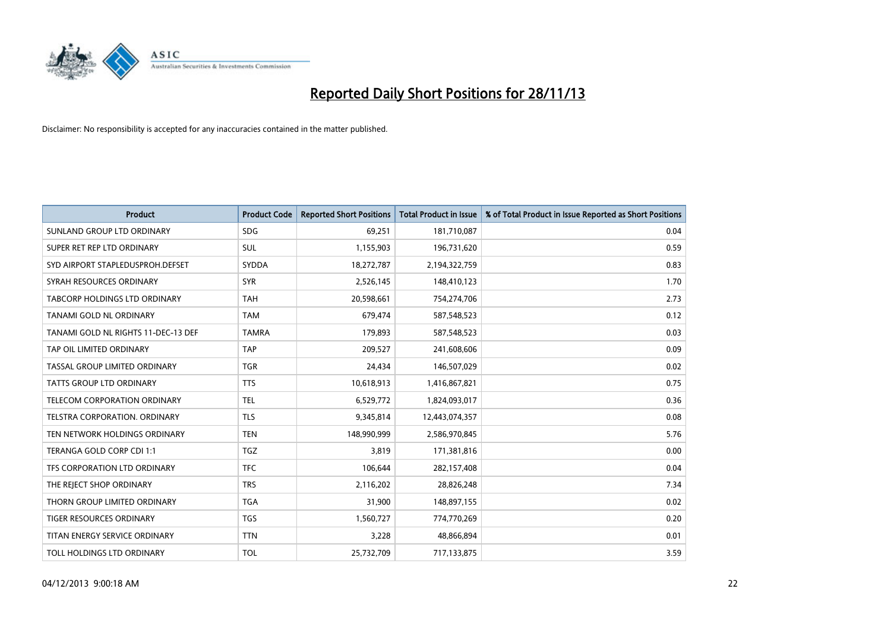

| <b>Product</b>                       | <b>Product Code</b> | <b>Reported Short Positions</b> | <b>Total Product in Issue</b> | % of Total Product in Issue Reported as Short Positions |
|--------------------------------------|---------------------|---------------------------------|-------------------------------|---------------------------------------------------------|
| SUNLAND GROUP LTD ORDINARY           | <b>SDG</b>          | 69,251                          | 181,710,087                   | 0.04                                                    |
| SUPER RET REP LTD ORDINARY           | <b>SUL</b>          | 1,155,903                       | 196,731,620                   | 0.59                                                    |
| SYD AIRPORT STAPLEDUSPROH.DEFSET     | <b>SYDDA</b>        | 18,272,787                      | 2,194,322,759                 | 0.83                                                    |
| SYRAH RESOURCES ORDINARY             | <b>SYR</b>          | 2,526,145                       | 148,410,123                   | 1.70                                                    |
| <b>TABCORP HOLDINGS LTD ORDINARY</b> | <b>TAH</b>          | 20,598,661                      | 754,274,706                   | 2.73                                                    |
| TANAMI GOLD NL ORDINARY              | <b>TAM</b>          | 679,474                         | 587,548,523                   | 0.12                                                    |
| TANAMI GOLD NL RIGHTS 11-DEC-13 DEF  | <b>TAMRA</b>        | 179.893                         | 587,548,523                   | 0.03                                                    |
| TAP OIL LIMITED ORDINARY             | <b>TAP</b>          | 209,527                         | 241,608,606                   | 0.09                                                    |
| TASSAL GROUP LIMITED ORDINARY        | <b>TGR</b>          | 24,434                          | 146,507,029                   | 0.02                                                    |
| <b>TATTS GROUP LTD ORDINARY</b>      | <b>TTS</b>          | 10,618,913                      | 1,416,867,821                 | 0.75                                                    |
| TELECOM CORPORATION ORDINARY         | <b>TEL</b>          | 6,529,772                       | 1,824,093,017                 | 0.36                                                    |
| TELSTRA CORPORATION, ORDINARY        | <b>TLS</b>          | 9,345,814                       | 12,443,074,357                | 0.08                                                    |
| TEN NETWORK HOLDINGS ORDINARY        | <b>TEN</b>          | 148,990,999                     | 2,586,970,845                 | 5.76                                                    |
| TERANGA GOLD CORP CDI 1:1            | <b>TGZ</b>          | 3.819                           | 171,381,816                   | 0.00                                                    |
| TFS CORPORATION LTD ORDINARY         | <b>TFC</b>          | 106,644                         | 282,157,408                   | 0.04                                                    |
| THE REJECT SHOP ORDINARY             | <b>TRS</b>          | 2,116,202                       | 28,826,248                    | 7.34                                                    |
| THORN GROUP LIMITED ORDINARY         | <b>TGA</b>          | 31,900                          | 148,897,155                   | 0.02                                                    |
| TIGER RESOURCES ORDINARY             | <b>TGS</b>          | 1,560,727                       | 774,770,269                   | 0.20                                                    |
| TITAN ENERGY SERVICE ORDINARY        | <b>TTN</b>          | 3,228                           | 48,866,894                    | 0.01                                                    |
| TOLL HOLDINGS LTD ORDINARY           | <b>TOL</b>          | 25,732,709                      | 717,133,875                   | 3.59                                                    |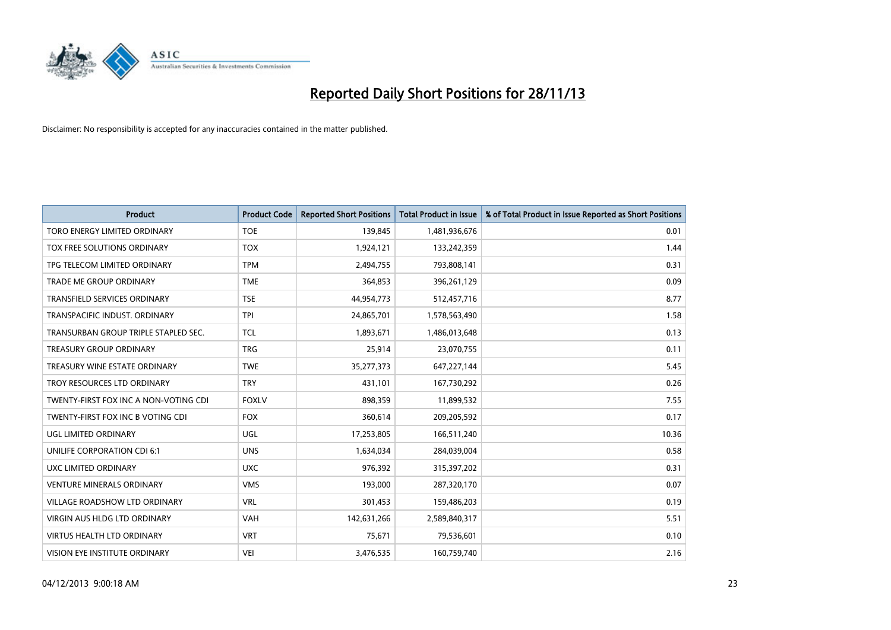

| Product                               | <b>Product Code</b> | <b>Reported Short Positions</b> | <b>Total Product in Issue</b> | % of Total Product in Issue Reported as Short Positions |
|---------------------------------------|---------------------|---------------------------------|-------------------------------|---------------------------------------------------------|
| <b>TORO ENERGY LIMITED ORDINARY</b>   | <b>TOE</b>          | 139,845                         | 1,481,936,676                 | 0.01                                                    |
| TOX FREE SOLUTIONS ORDINARY           | <b>TOX</b>          | 1,924,121                       | 133,242,359                   | 1.44                                                    |
| TPG TELECOM LIMITED ORDINARY          | <b>TPM</b>          | 2,494,755                       | 793,808,141                   | 0.31                                                    |
| TRADE ME GROUP ORDINARY               | <b>TME</b>          | 364,853                         | 396,261,129                   | 0.09                                                    |
| <b>TRANSFIELD SERVICES ORDINARY</b>   | <b>TSE</b>          | 44,954,773                      | 512,457,716                   | 8.77                                                    |
| TRANSPACIFIC INDUST, ORDINARY         | <b>TPI</b>          | 24,865,701                      | 1,578,563,490                 | 1.58                                                    |
| TRANSURBAN GROUP TRIPLE STAPLED SEC.  | <b>TCL</b>          | 1,893,671                       | 1,486,013,648                 | 0.13                                                    |
| TREASURY GROUP ORDINARY               | <b>TRG</b>          | 25,914                          | 23,070,755                    | 0.11                                                    |
| TREASURY WINE ESTATE ORDINARY         | <b>TWE</b>          | 35,277,373                      | 647,227,144                   | 5.45                                                    |
| TROY RESOURCES LTD ORDINARY           | <b>TRY</b>          | 431,101                         | 167,730,292                   | 0.26                                                    |
| TWENTY-FIRST FOX INC A NON-VOTING CDI | <b>FOXLV</b>        | 898,359                         | 11,899,532                    | 7.55                                                    |
| TWENTY-FIRST FOX INC B VOTING CDI     | <b>FOX</b>          | 360,614                         | 209,205,592                   | 0.17                                                    |
| UGL LIMITED ORDINARY                  | UGL                 | 17,253,805                      | 166,511,240                   | 10.36                                                   |
| UNILIFE CORPORATION CDI 6:1           | <b>UNS</b>          | 1,634,034                       | 284,039,004                   | 0.58                                                    |
| UXC LIMITED ORDINARY                  | <b>UXC</b>          | 976,392                         | 315,397,202                   | 0.31                                                    |
| <b>VENTURE MINERALS ORDINARY</b>      | <b>VMS</b>          | 193,000                         | 287,320,170                   | 0.07                                                    |
| VILLAGE ROADSHOW LTD ORDINARY         | <b>VRL</b>          | 301,453                         | 159,486,203                   | 0.19                                                    |
| VIRGIN AUS HLDG LTD ORDINARY          | <b>VAH</b>          | 142,631,266                     | 2,589,840,317                 | 5.51                                                    |
| <b>VIRTUS HEALTH LTD ORDINARY</b>     | <b>VRT</b>          | 75,671                          | 79,536,601                    | 0.10                                                    |
| VISION EYE INSTITUTE ORDINARY         | <b>VEI</b>          | 3,476,535                       | 160,759,740                   | 2.16                                                    |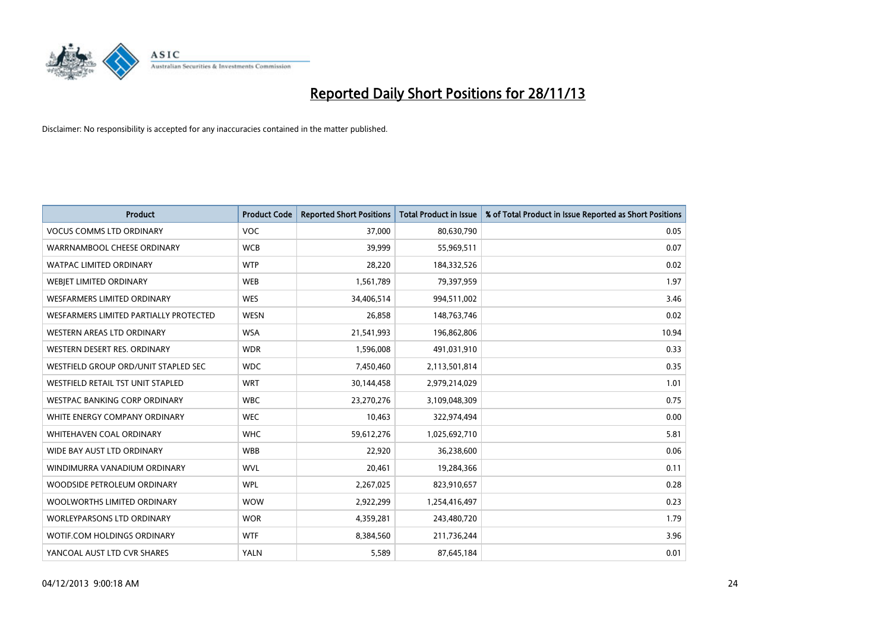

| <b>Product</b>                         | <b>Product Code</b> | <b>Reported Short Positions</b> | <b>Total Product in Issue</b> | % of Total Product in Issue Reported as Short Positions |
|----------------------------------------|---------------------|---------------------------------|-------------------------------|---------------------------------------------------------|
| <b>VOCUS COMMS LTD ORDINARY</b>        | <b>VOC</b>          | 37,000                          | 80,630,790                    | 0.05                                                    |
| WARRNAMBOOL CHEESE ORDINARY            | <b>WCB</b>          | 39,999                          | 55,969,511                    | 0.07                                                    |
| <b>WATPAC LIMITED ORDINARY</b>         | <b>WTP</b>          | 28,220                          | 184,332,526                   | 0.02                                                    |
| WEBIET LIMITED ORDINARY                | <b>WEB</b>          | 1,561,789                       | 79,397,959                    | 1.97                                                    |
| WESFARMERS LIMITED ORDINARY            | <b>WES</b>          | 34,406,514                      | 994,511,002                   | 3.46                                                    |
| WESFARMERS LIMITED PARTIALLY PROTECTED | <b>WESN</b>         | 26,858                          | 148,763,746                   | 0.02                                                    |
| WESTERN AREAS LTD ORDINARY             | <b>WSA</b>          | 21,541,993                      | 196,862,806                   | 10.94                                                   |
| WESTERN DESERT RES. ORDINARY           | <b>WDR</b>          | 1,596,008                       | 491,031,910                   | 0.33                                                    |
| WESTFIELD GROUP ORD/UNIT STAPLED SEC   | <b>WDC</b>          | 7,450,460                       | 2,113,501,814                 | 0.35                                                    |
| WESTFIELD RETAIL TST UNIT STAPLED      | <b>WRT</b>          | 30,144,458                      | 2,979,214,029                 | 1.01                                                    |
| <b>WESTPAC BANKING CORP ORDINARY</b>   | <b>WBC</b>          | 23,270,276                      | 3,109,048,309                 | 0.75                                                    |
| WHITE ENERGY COMPANY ORDINARY          | <b>WEC</b>          | 10,463                          | 322,974,494                   | 0.00                                                    |
| WHITEHAVEN COAL ORDINARY               | <b>WHC</b>          | 59,612,276                      | 1,025,692,710                 | 5.81                                                    |
| WIDE BAY AUST LTD ORDINARY             | <b>WBB</b>          | 22,920                          | 36,238,600                    | 0.06                                                    |
| WINDIMURRA VANADIUM ORDINARY           | <b>WVL</b>          | 20,461                          | 19,284,366                    | 0.11                                                    |
| WOODSIDE PETROLEUM ORDINARY            | <b>WPL</b>          | 2,267,025                       | 823,910,657                   | 0.28                                                    |
| WOOLWORTHS LIMITED ORDINARY            | <b>WOW</b>          | 2,922,299                       | 1,254,416,497                 | 0.23                                                    |
| <b>WORLEYPARSONS LTD ORDINARY</b>      | <b>WOR</b>          | 4,359,281                       | 243,480,720                   | 1.79                                                    |
| WOTIF.COM HOLDINGS ORDINARY            | <b>WTF</b>          | 8,384,560                       | 211,736,244                   | 3.96                                                    |
| YANCOAL AUST LTD CVR SHARES            | <b>YALN</b>         | 5,589                           | 87,645,184                    | 0.01                                                    |